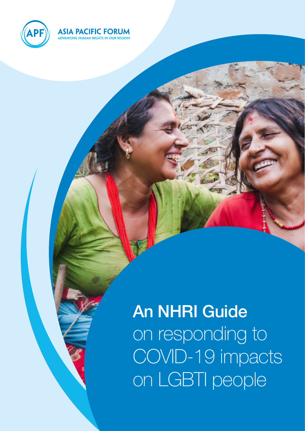

## **ASIA PACIFIC FORUM**

# An NHRI Guide on responding to COVID-19 impacts on LGBTI people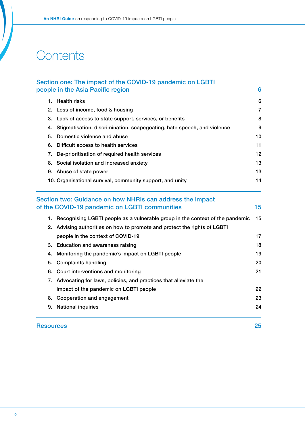## **Contents**

|                                   | Section one: The impact of the COVID-19 pandemic on LGBTI                                                                                                                                                                                                                | 6                                         |                                        |                                                  |
|-----------------------------------|--------------------------------------------------------------------------------------------------------------------------------------------------------------------------------------------------------------------------------------------------------------------------|-------------------------------------------|----------------------------------------|--------------------------------------------------|
| people in the Asia Pacific region |                                                                                                                                                                                                                                                                          |                                           |                                        |                                                  |
|                                   | 1. Health risks<br>2. Loss of income, food & housing<br>3. Lack of access to state support, services, or benefits<br>4. Stigmatisation, discrimination, scapegoating, hate speech, and violence<br>Domestic violence and abuse<br>6. Difficult access to health services | 6<br>$\overline{7}$<br>8<br>9<br>10<br>11 |                                        |                                                  |
|                                   |                                                                                                                                                                                                                                                                          |                                           |                                        |                                                  |
|                                   |                                                                                                                                                                                                                                                                          |                                           |                                        |                                                  |
| 5.                                |                                                                                                                                                                                                                                                                          |                                           |                                        |                                                  |
|                                   |                                                                                                                                                                                                                                                                          |                                           |                                        | 7. De-prioritisation of required health services |
| 8.                                |                                                                                                                                                                                                                                                                          |                                           | Social isolation and increased anxiety | 13                                               |
|                                   | 9. Abuse of state power<br>10. Organisational survival, community support, and unity                                                                                                                                                                                     | 13<br>14                                  |                                        |                                                  |
|                                   |                                                                                                                                                                                                                                                                          |                                           |                                        |                                                  |
|                                   | of the COVID-19 pandemic on LGBTI communities<br>1. Recognising LGBTI people as a vulnerable group in the context of the pandemic<br>2. Advising authorities on how to promote and protect the rights of LGBTI                                                           | 15<br>15                                  |                                        |                                                  |
|                                   | people in the context of COVID-19                                                                                                                                                                                                                                        | 17                                        |                                        |                                                  |
|                                   | 3. Education and awareness raising                                                                                                                                                                                                                                       | 18                                        |                                        |                                                  |
|                                   | 4. Monitoring the pandemic's impact on LGBTI people                                                                                                                                                                                                                      | 19                                        |                                        |                                                  |
|                                   | 5. Complaints handling                                                                                                                                                                                                                                                   | 20                                        |                                        |                                                  |
|                                   | 6. Court interventions and monitoring                                                                                                                                                                                                                                    | 21                                        |                                        |                                                  |
|                                   | 7. Advocating for laws, policies, and practices that alleviate the                                                                                                                                                                                                       |                                           |                                        |                                                  |
|                                   | impact of the pandemic on LGBTI people                                                                                                                                                                                                                                   | 22                                        |                                        |                                                  |
|                                   | 8. Cooperation and engagement                                                                                                                                                                                                                                            | 23                                        |                                        |                                                  |
|                                   | 9. National inquiries                                                                                                                                                                                                                                                    | 24                                        |                                        |                                                  |
| <b>Resources</b>                  |                                                                                                                                                                                                                                                                          | 25                                        |                                        |                                                  |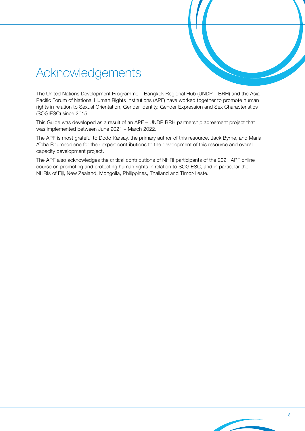## Acknowledgements

The United Nations Development Programme – Bangkok Regional Hub (UNDP – BRH) and the Asia Pacific Forum of National Human Rights Institutions (APF) have worked together to promote human rights in relation to Sexual Orientation, Gender Identity, Gender Expression and Sex Characteristics (SOGIESC) since 2015.

This Guide was developed as a result of an APF – UNDP BRH partnership agreement project that was implemented between June 2021 – March 2022.

The APF is most grateful to Dodo Karsay, the primary author of this resource, Jack Byrne, and Maria Aïcha Boumeddiene for their expert contributions to the development of this resource and overall capacity development project.

The APF also acknowledges the critical contributions of NHRI participants of the 2021 APF online course on promoting and protecting human rights in relation to SOGIESC, and in particular the NHRIs of Fiji, New Zealand, Mongolia, Philippines, Thailand and Timor-Leste.

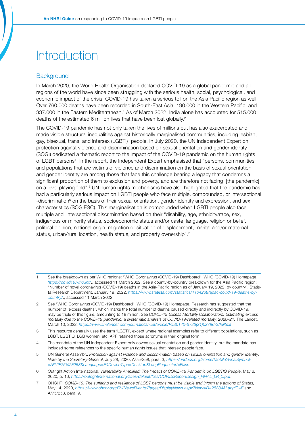## **Introduction**

## **Background**

In March 2020, the World Health Organisation declared COVID-19 as a global pandemic and all regions of the world have since been struggling with the serious health, social, psychological, and economic impact of the crisis. COVID-19 has taken a serious toll on the Asia Pacific region as well. Over 760.000 deaths have been recorded in South-East Asia, 190.000 in the Western Pacific, and 337.000 in the Eastern Mediterranean.<sup>1</sup> As of March 2022, India alone has accounted for 515.000 deaths of the estimated 6 million lives that have been lost globally.<sup>2</sup>

The COVID-19 pandemic has not only taken the lives of millions but has also exacerbated and made visible structural inequalities against historically marginalised communities, including lesbian, gay, bisexual, trans, and intersex (LGBTI)<sup>3</sup> people. In July 2020, the UN Independent Expert on protection against violence and discrimination based on sexual orientation and gender identity (SOGI) dedicated a thematic report to the impact of the COVID-19 pandemic on the human rights of LGBT persons<sup>4</sup>. In the report, the Independent Expert emphasised that "persons, communities and populations that are victims of violence and discrimination on the basis of sexual orientation and gender identity are among those that face this challenge bearing a legacy that condemns a significant proportion of them to exclusion and poverty, and are therefore not facing [the pandemic] on a level playing field".5 UN human rights mechanisms have also highlighted that the pandemic has had a particularly serious impact on LGBTI people who face multiple, compounded, or intersectional -discrimination<sup>6</sup> on the basis of their sexual orientation, gender identity and expression, and sex characteristics (SOGIESC). This marginalisation is compounded when LGBTI people also face multiple and intersectional discrimination based on their "disability, age, ethnicity/race, sex, indigenous or minority status, socioeconomic status and/or caste, language, religion or belief, political opinion, national origin, migration or situation of displacement, marital and/or maternal status, urban/rural location, health status, and property ownership".<sup>7</sup>

<sup>1</sup> See the breakdown as per WHO regions: "WHO Coronavirus (COVID-19) Dashboard", WHO (COVID-19) Homepage, *<https://covid19.who.int/>*., accessed 11 March 2022. See a county-by-country breakdown for the Asia Pacific region: "Number of novel coronavirus (COVID-19) deaths in the Asia-Pacific region as of January 19, 2022, by country", Statista Research Department, January 19, 2022, *[https://www.statista.com/statistics/1104268/apac-covid-19-deaths-by](https://www.statista.com/statistics/1104268/apac-covid-19-deaths-by-country/)[country/](https://www.statista.com/statistics/1104268/apac-covid-19-deaths-by-country/)*., accessed 11 March 2022.

<sup>2</sup> See "WHO Coronavirus (COVID-19) Dashboard", WHO (COVID-19) Homepage. Research has suggested that the number of 'excess deaths', which marks the total number of deaths caused directly and indirectly by COVID-19, may be triple of this figure, amounting to 18 million. See *COVID-19 Excess Mortality Collaborators. Estimating excess mortality due to the COVID-19 pandemic: a systematic analysis of COVID-19-related mortality, 2020–21,* The Lancet, March 10, 2022, *[https://www.thelancet.com/journals/lancet/article/PIIS0140-6736\(21\)02796-3/fulltext](https://www.thelancet.com/journals/lancet/article/PIIS0140-6736(21)02796-3/fulltext)*.

<sup>3</sup> This resource generally uses the term 'LGBTI', except where regional examples refer to different populations, such as LGBT, LGBTIQ, LGB women, etc. APF retained those acronyms in their original form.

<sup>4</sup> The mandate of the UN Independent Expert only covers sexual orientation and gender identity, but the mandate has included some references to the specific human rights issues that intersex people face.

<sup>5</sup> UN General Assembly, *Protection against violence and discrimination based on sexual orientation and gender identity: Note by the Secretary-General,* July 28, 2020, A/75/258, para. 3, *[https://undocs.org/Home/Mobile?FinalSymbol-](https://undocs.org/Home/Mobile?FinalSymbol=A%2F75%2F258&Language=E&DeviceType=Desktop&LangRequested=False) [=A%2F75%2F258&Language=E&DeviceType=Desktop&LangRequested=False](https://undocs.org/Home/Mobile?FinalSymbol=A%2F75%2F258&Language=E&DeviceType=Desktop&LangRequested=False)*.

<sup>6</sup> Outright Action International, *Vulnerability Amplified: The Impact of COVID-19 Pandemic on LGBTIQ People*, May 6, 2020, p. 10, *[https://outrightinternational.org/sites/default/files/COVIDsReportDesign\\_FINAL\\_LR\\_0.pdf](https://outrightinternational.org/sites/default/files/COVIDsReportDesign_FINAL_LR_0.pdf)*.

<sup>7</sup> OHCHR, *COVID-19: The suffering and resilience of LGBT persons must be visible and inform the actions of States,*  May 14, 2020, *<https://www.ohchr.org/EN/NewsEvents/Pages/DisplayNews.aspx?NewsID=25884&LangID=E>* and A/75/258, para. 9.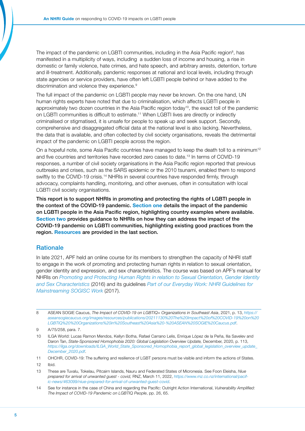The impact of the pandemic on LGBTI communities, including in the Asia Pacific region<sup>8</sup>, has manifested in a multiplicity of ways, including a sudden loss of income and housing, a rise in domestic or family violence, hate crimes, and hate speech, and arbitrary arrests, detention, torture and ill-treatment. Additionally, pandemic responses at national and local levels, including through state agencies or service providers, have often left LGBTI people behind or have added to the discrimination and violence they experience.<sup>9</sup>

The full impact of the pandemic on LGBTI people may never be known. On the one hand, UN human rights experts have noted that due to criminalisation, which affects LGBTI people in approximately two dozen countries in the Asia Pacific region today10, the exact toll of the pandemic on LGBTI communities is difficult to estimate.11 When LGBTI lives are directly or indirectly criminalised or stigmatised, it is unsafe for people to speak up and seek support. Secondly, comprehensive and disaggregated official data at the national level is also lacking. Nevertheless, the data that is available, and often collected by civil society organisations, reveals the detrimental impact of the pandemic on LGBTI people across the region.

On a hopeful note, some Asia Pacific countries have managed to keep the death toll to a minimum<sup>12</sup> and five countries and territories have recorded zero cases to date.13 In terms of COVID-19 responses, a number of civil society organisations in the Asia Pacific region reported that previous outbreaks and crises, such as the SARS epidemic or the 2010 tsunami, enabled them to respond swiftly to the COVID-19 crisis.<sup>14</sup> NHRIs in several countries have responded firmly, through advocacy, complaints handling, monitoring, and other avenues, often in consultation with local LGBTI civil society organisations.

This report is to support NHRIs in promoting and protecting the rights of LGBTI people in the context of the COVID-19 pandemic. Section one details the impact of the pandemic on LGBTI people in the Asia Pacific region, highlighting country examples where available. Section two provides guidance to NHRIs on how they can address the impact of the COVID-19 pandemic on LGBTI communities, highlighting existing good practices from the region. Resources are provided in the last section.

## **Rationale**

In late 2021, APF held an online course for its members to strengthen the capacity of NHRI staff to engage in the work of promoting and protecting human rights in relation to sexual orientation, gender identity and expression, and sex characteristics. The course was based on APF's manual for NHRIs on *[Promoting and Protecting Human Rights in relation to Sexual Orientation, Gender Identity](https://www.asiapacificforum.net/resources/manual-sogi-and-sex-charactersitics/)  [and Sex Characteristics](https://www.asiapacificforum.net/resources/manual-sogi-and-sex-charactersitics/)* (2016) and its guidelines *[Part of our Everyday Work: NHRI Guidelines for](https://www.asiapacificforum.net/resources/guidelines-mainstreaming-sexual-orientation-gender-identity-and-sex-characteristics-work/)  [Mainstreaming SOGISC Work](https://www.asiapacificforum.net/resources/guidelines-mainstreaming-sexual-orientation-gender-identity-and-sex-characteristics-work/)* (2017).

<sup>8</sup> ASEAN SOGIE Caucus, *The Impact of COVID-19 on LGBTIQ+ Organizations in Southeast Asia*, 2021, p. 13, *[https://](https://aseansogiecaucus.org/images/resources/publications/20211130%20The%20Impact%20of%20COVID-19%20on%20LGBTIQ%20%20Organizations%20in%20Southeast%20Asia%20-%20ASEAN%20SOGIE%20Caucus.pdf) [aseansogiecaucus.org/images/resources/publications/20211130%20The%20Impact%20of%20COVID-19%20on%20](https://aseansogiecaucus.org/images/resources/publications/20211130%20The%20Impact%20of%20COVID-19%20on%20LGBTIQ%20%20Organizations%20in%20Southeast%20Asia%20-%20ASEAN%20SOGIE%20Caucus.pdf) [LGBTIQ%20%20Organizations%20in%20Southeast%20Asia%20-%20ASEAN%20SOGIE%20Caucus.pdf](https://aseansogiecaucus.org/images/resources/publications/20211130%20The%20Impact%20of%20COVID-19%20on%20LGBTIQ%20%20Organizations%20in%20Southeast%20Asia%20-%20ASEAN%20SOGIE%20Caucus.pdf)*.

<sup>9</sup> A/75/258, para. 7.

<sup>10</sup> ILGA World: Lucas Ramon Mendos, Kellyn Botha, Rafael Carrano Lelis, Enrique López de la Peña, Ilia Savelev and Daron Tan, *State-Sponsored Homophobia 2020: Global Legislation Overview Update,* December, 2020, p. 113, *[https://ilga.org/downloads/ILGA\\_World\\_State\\_Sponsored\\_Homophobia\\_report\\_global\\_legislation\\_overview\\_update\\_](https://ilga.org/downloads/ILGA_World_State_Sponsored_Homophobia_report_global_legislation_overview_update_December_2020.pdf) [December\\_2020.pdf](https://ilga.org/downloads/ILGA_World_State_Sponsored_Homophobia_report_global_legislation_overview_update_December_2020.pdf)*.

<sup>11</sup> OHCHR, COVID-19: The suffering and resilience of LGBT persons must be visible and inform the actions of States.

<sup>12</sup> Ibid.

<sup>13</sup> These are Tuvalu, Tokelau, Pitcairn Islands, Nauru and Federated States of Micronesia. See Foon Eleisha, *Niue prepared for arrival of unwanted guest - covid,* RNZ, March 11, 2022, *[https://www.rnz.co.nz/international/pacif](https://www.rnz.co.nz/international/pacific-news/463099/niue-prepared-for-arrival-of-unwanted-guest-covid)[ic-news/463099/niue-prepared-for-arrival-of-unwanted-guest-covid](https://www.rnz.co.nz/international/pacific-news/463099/niue-prepared-for-arrival-of-unwanted-guest-covid)*.

<sup>14</sup> See for instance in the case of China and regarding the Pacific: Outright Action International, *Vulnerability Amplified: The Impact of COVID-19 Pandemic on LGBTIQ People*, pp. 26, 65.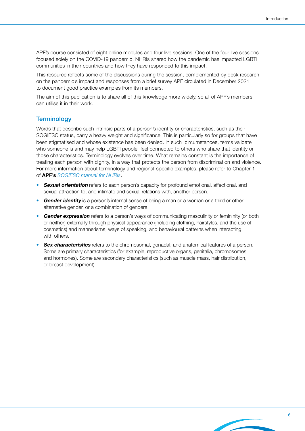APF's course consisted of eight online modules and four live sessions. One of the four live sessions focused solely on the COVID-19 pandemic. NHRIs shared how the pandemic has impacted LGBTI communities in their countries and how they have responded to this impact.

This resource reflects some of the discussions during the session, complemented by desk research on the pandemic's impact and responses from a brief survey APF circulated in December 2021 to document good practice examples from its members.

The aim of this publication is to share all of this knowledge more widely, so all of APF's members can utilise it in their work.

### **Terminology**

Words that describe such intrinsic parts of a person's identity or characteristics, such as their SOGIESC status, carry a heavy weight and significance. This is particularly so for groups that have been stigmatised and whose existence has been denied. In such circumstances, terms validate who someone is and may help LGBTI people feel connected to others who share that identity or those characteristics. Terminology evolves over time. What remains constant is the importance of treating each person with dignity, in a way that protects the person from discrimination and violence. For more information about terminology and regional-specific examples, please refer to Chapter 1 of APF's *[SOGIESC manual for NHRIs](https://www.asiapacificforum.net/resources/manual-sogi-and-sex-charactersitics/)*.

- Sexual orientation refers to each person's capacity for profound emotional, affectional, and sexual attraction to, and intimate and sexual relations with, another person.
- Gender identity is a person's internal sense of being a man or a woman or a third or other alternative gender, or a combination of genders.
- Gender expression refers to a person's ways of communicating masculinity or femininity (or both or neither) externally through physical appearance (including clothing, hairstyles, and the use of cosmetics) and mannerisms, ways of speaking, and behavioural patterns when interacting with others.
- **Sex characteristics** refers to the chromosomal, gonadal, and anatomical features of a person. Some are primary characteristics (for example, reproductive organs, genitalia, chromosomes, and hormones). Some are secondary characteristics (such as muscle mass, hair distribution, or breast development).

6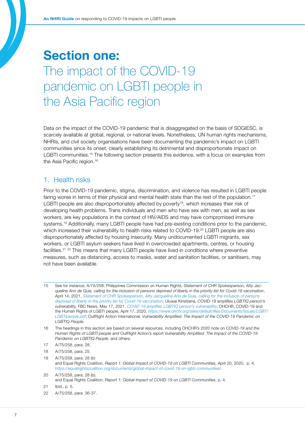## <span id="page-6-0"></span>Section one: The impact of the COVID-19 pandemic on LGBTI people in the Asia Pacific region

Data on the impact of the COVID-19 pandemic that is disaggregated on the basis of SOGIESC, is scarcely available at global, regional, or national levels. Nonetheless, UN human rights mechanisms, NHRIs, and civil society organisations have been documenting the pandemic's impact on LGBTI communities since its onset, clearly establishing its detrimental and disproportionate impact on LGBTI communities.15 The following section presents this evidence, with a focus on examples from the Asia Pacific region.<sup>16</sup>

## 1. Health risks

Prior to the COVID-19 pandemic, stigma, discrimination, and violence has resulted in LGBTI people faring worse in terms of their physical and mental health state than the rest of the population.<sup>17</sup> LGBTI people are also disproportionately affected by poverty<sup>18</sup>, which increases their risk of developing health problems. Trans individuals and men who have sex with men, as well as sex workers, are key populations in the context of HIV/AIDS and may have compromised immune systems.<sup>19</sup> Additionally, many LGBTI people have had pre-existing conditions prior to the pandemic, which increased their vulnerability to health risks related to COVID-19.<sup>20</sup> LGBTI people are also disproportionately affected by housing insecurity. Many undocumented LGBTI migrants, sex workers, or LGBTI asylum seekers have lived in overcrowded apartments, centres, or housing facilities.21 22 This means that many LGBTI people have lived in conditions where preventive measures, such as distancing, access to masks, water and sanitation facilities, or sanitisers, may not have been available.

<sup>15</sup> See for instance, A/75/258; Philippines Commission on Human Rights, *Statement of CHR Spokesperson, Atty Jacqueline Ann de Guia, calling for the inclusion of persons deprived of liberty in the priority list for Covid-19 vaccination*, April 14, 2021, *[Statement of CHR Spokesperson, Atty Jacqueline Ann de Guia, calling for the inclusion of persons](https://chr.gov.ph/statement-of-chr-spokesperson-atty-jacqueline-ann-de-guia-calling-for-the-inclusion-of-persons-deprived-of-liberty-in-the-priority-list-for-covid-19-vaccination/)  [deprived of liberty in the priority list for Covid-19 vaccination](https://chr.gov.ph/statement-of-chr-spokesperson-atty-jacqueline-ann-de-guia-calling-for-the-inclusion-of-persons-deprived-of-liberty-in-the-priority-list-for-covid-19-vaccination/)*; Uluwai Kirisitiana, *COVID-19 amplifies LGBTIQ person's vulnerability,* FBC News, May 17, 2021, *[COVID-19 amplifies LGBTIQ person's vulnerability](https://www.fbcnews.com.fj/news/covid-19/covid-19-amplifies-lgbtiq-persons-vulnerability/)*; OHCHR, COVID-19 and the Human Rights of LGBTI people, April 17, 2020, *[https://www.ohchr.org/sites/default/files/Documents/Issues/LGBT/](https://www.ohchr.org/sites/default/files/Documents/Issues/LGBT/LGBTIpeople.pdf) [LGBTIpeople.pdf](https://www.ohchr.org/sites/default/files/Documents/Issues/LGBT/LGBTIpeople.pdf)*; OutRight Action International, *Vulnerability Amplified: The Impact of the COVID-19 Pandemic on LGBTIQ People.*

<sup>16</sup> The headings in this section are based on several resources, including OHCHR's 2020 note on C*OVID-19 and the Human Rights of LGBTI people* and OutRight Action's report V*ulnerability Amplified: The Impact of the COVID-19 Pandemic on LGBTIQ People*, and others.

<sup>17</sup> A/75/258, para. 28.

<sup>18</sup> A/75/258, para. 25.

<sup>19</sup> A/75/258, para. 28 (b) and Equal Rights Coalition, *Report 1: Global Impact of COVID-19 on LGBTI Communities,* April 20, 2020, p. 4, *<https://equalrightscoalition.org/documents/global-impact-of-covid-19-on-lgbti-communities/>*.

<sup>20</sup> A/75/258, para. 28 (b). and Equal Rights Coalition, *Report 1: Global Impact of COVID-19 on LGBTI Communities*, p. 4.

<sup>21</sup> Ibid., p. 5.

<sup>22</sup> A/75/258, para. 36-37.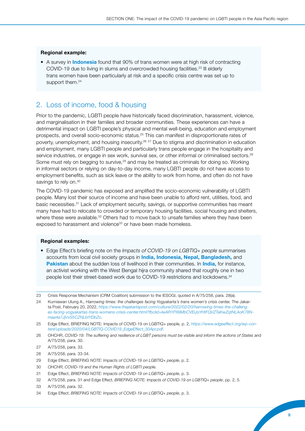#### <span id="page-7-0"></span>Regional example:

• A survey in **Indonesia** found that 90% of trans women were at high risk of contracting COVID-19 due to living in slums and overcrowded housing facilities.23 Ill elderly trans women have been particularly at risk and a specific crisis centre was set up to support them.<sup>24</sup>

## 2. Loss of income, food & housing

Prior to the pandemic, LGBTI people have historically faced discrimination, harassment, violence, and marginalisation in their families and broader communities. These experiences can have a detrimental impact on LGBTI people's physical and mental well-being, education and employment prospects, and overall socio-economic status.<sup>25</sup> This can manifest in disproportionate rates of poverty, unemployment, and housing insecurity.26 27 Due to stigma and discrimination in education and employment, many LGBTI people and particularly trans people engage in the hospitality and service industries, or engage in sex work, survival sex, or other informal or criminalised sectors.<sup>28</sup> Some must rely on begging to survive,<sup>29</sup> and may be treated as criminals for doing so. Working in informal sectors or relying on day-to-day income, many LGBTI people do not have access to employment benefits, such as sick leave or the ability to work from home, and often do not have savings to rely on.<sup>30</sup>

The COVID-19 pandemic has exposed and amplified the socio-economic vulnerability of LGBTI people. Many lost their source of income and have been unable to afford rent, utilities, food, and basic necessities.31 Lack of employment security, savings, or supportive communities has meant many have had to relocate to crowded or temporary housing facilities, social housing and shelters, where these were available.<sup>32</sup> Others had to move back to unsafe families where they have been exposed to harassment and violence<sup>33</sup> or have been made homeless.

#### Regional examples:

• Edge Effect's briefing note on the *Impacts of COVID-19 on LGBTIQ+ people* summarises accounts from local civil society groups in *India*, *Indonesia*, *Nepal*, *Bangladesh*, and Pakistan about the sudden loss of livelihood in their communities. In *India*, for instance, an activist working with the West Bengal hijra community shared that roughly one in two people lost their street-based work due to COVID-19 restrictions and lockdowns.<sup>34</sup>

28 A/75/258, para. 33-34.

33 A/75/258, para. 32.

<sup>23</sup> Crisis Response Mechanism (CRM Coalition) submission to the IESOGI, quoted in A/75/258, para. 28(a).

<sup>24</sup> Kurniawan Ulung A., *Harrowing times: the challenges facing Yogyakarta's trans women's crisis center*, The Jakarta Post, February 20, 2022, *[https://www.thejakartapost.com/culture/2022/02/20/harrowing-times-the-challeng](https://www.thejakartapost.com/culture/2022/02/20/harrowing-times-the-challenges-facing-yogyakartas-trans-womens-crisis-center.html?fbclid=IwAR1PX9MbCVEiJsYHtFQVZTaKwZqtNLAoK78Nmaa4a7JjVvS5CZNLbtYDbZo)[es-facing-yogyakartas-trans-womens-crisis-center.html?fbclid=IwAR1PX9MbCVEiJsYHtFQVZTaKwZqtNLAoK78N](https://www.thejakartapost.com/culture/2022/02/20/harrowing-times-the-challenges-facing-yogyakartas-trans-womens-crisis-center.html?fbclid=IwAR1PX9MbCVEiJsYHtFQVZTaKwZqtNLAoK78Nmaa4a7JjVvS5CZNLbtYDbZo)[maa4a7JjVvS5CZNLbtYDbZo](https://www.thejakartapost.com/culture/2022/02/20/harrowing-times-the-challenges-facing-yogyakartas-trans-womens-crisis-center.html?fbclid=IwAR1PX9MbCVEiJsYHtFQVZTaKwZqtNLAoK78Nmaa4a7JjVvS5CZNLbtYDbZo)*.

<sup>25</sup> Edge Effect, BRIEFING NOTE: Impacts of COVID-19 on LGBTIQ+ people, p. 2, *[https://www.edgeeffect.org/wp-con](https://www.edgeeffect.org/wp-content/uploads/2020/04/LGBTIQ-COVID19_EdgeEffect_30Apr.pdf)[tent/uploads/2020/04/LGBTIQ-COVID19\\_EdgeEffect\\_30Apr.pdf](https://www.edgeeffect.org/wp-content/uploads/2020/04/LGBTIQ-COVID19_EdgeEffect_30Apr.pdf)*.

<sup>26</sup> OHCHR, *COVID-19: The suffering and resilience of LGBT persons must be visible and inform the actions of States* and A/75/258, para. 30.

<sup>27</sup> A/75/258, para. 33.

<sup>29</sup> Edge Effect, *BRIEFING NOTE: Impacts of COVID-19 on LGBTIQ+ people*, p. 2.

<sup>30</sup> *OHCHR, COVID-19 and the Human Rights of LGBTI people.*

<sup>31</sup> Edge Effect, *BRIEFING NOTE: Impacts of COVID-19 on LGBTIQ+ people*, p. 3.

<sup>32</sup> A/75/258, para. 31 and Edge Effect, *BRIEFING NOTE: Impacts of COVID-19 on LGBTIQ+ people*, pp. 2, 5.

<sup>34</sup> Edge Effect, *BRIEFING NOTE: Impacts of COVID-19 on LGBTIQ+ people*, p. 3.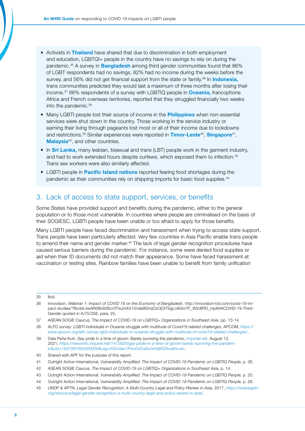- Activists in Thailand have shared that due to discrimination in both employment and education, LGBTQI+ people in the country have no savings to rely on during the pandemic.<sup>35</sup> A survey in **Bangladesh** among third gender communities found that 86% of LGBT respondents had no savings, 82% had no income during the weeks before the survey, and 56% did not get financial support from the state or family.<sup>36</sup> In **Indonesia**, trans communities predicted they would last a maximum of three months after losing their income.<sup>37</sup> 66% respondents of a survey with LGBTIQ people in **Oceania, francophone** Africa and French overseas territories, reported that they struggled financially two weeks into the pandemic.38
- Many LGBTI people lost their source of income in the **Philippines** when non-essential services were shut down in the country. Those working in the service industry or earning their living through pageants lost most or all of their income due to lockdowns and restrictions.<sup>39</sup> Similar experiences were reported in Timor-Leste<sup>40</sup>, Singapore<sup>41</sup>, Malaysia<sup>42</sup>, and other countries.
- In **Sri Lanka,** many lesbian, bisexual and trans (LBT) people work in the garment industry, and had to work extended hours despite curfews, which exposed them to infection.<sup>43</sup> Trans sex workers were also similarly affected.
- LGBTI people in **Pacific Island nations** reported fearing food shortages during the pandemic as their communities rely on shipping imports for basic food supplies.<sup>44</sup>

## <span id="page-8-0"></span>3. Lack of access to state support, services, or benefits

Some States have provided support and benefits during the pandemic, either to the general population or to those most vulnerable. In countries where people are criminalised on the basis of their SOGIESC, LGBTI people have been unable or too afraid to apply for those benefits.

Many LGBTI people have faced discrimination and harassment when trying to access state support. Trans people have been particularly affected. Very few countries in Asia Pacific enable trans people to amend their name and gender marker.<sup>45</sup> The lack of legal gender recognition procedures have caused serious barriers during the pandemic. For instance, some were denied food supplies or aid when their ID documents did not match their appearance. Some have faced harassment at vaccination or testing sites. Rainbow families have been unable to benefit from family unification

35 Ibid.

<sup>36</sup> Innovision, *Webinar 1: Impact of COVID 19 on the Economy of Bangladesh,* http://innovision-bd.com/covid-19-impact-studies/?fbclid=IwAR06k92BcnTFeJmX412ndeIiIl3mjOzOjOITbgLn9GmTF\_W2dIPEI\_mjv84#COVID-19-Third-Gender quoted in A/75/258, para. 25.

<sup>37</sup> ASEAN SOGIE Caucus, T*he Impact of COVID-19 on LGBTIQ+ Organizations in Southeast Asia,* pp. 13-14.

<sup>38</sup> ALFO *survey: LGBTI individuals in Oceania struggle with multitude of Covid19 related challenges*, APCOM, *[https://](https://www.apcom.org/alfo-survey-lgbti-individuals-in-oceania-struggle-with-multitude-of-covid19-related-challenges/) [www.apcom.org/alfo-survey-lgbti-individuals-in-oceania-struggle-with-multitude-of-covid19-related-challenges/](https://www.apcom.org/alfo-survey-lgbti-individuals-in-oceania-struggle-with-multitude-of-covid19-related-challenges/)*.

<sup>39</sup> Dela Peña Kurt, Gay pride in a time of gloom: Barely surviving the pandemic, *[Inquirier.net](http://Inquirier.net)*, August 12, 2021, *[https://newsinfo.inquirer.net/1472826/gay-pride-in-a-time-of-gloom-barely-surviving-the-pandem](https://newsinfo.inquirer.net/1472826/gay-pride-in-a-time-of-gloom-barely-surviving-the-pandemic&ust=1647087000000000&usg=AOvVaw1Pixo0vl2uDcrxm9j9S2bo&hl=en)[ic&ust=1647087000000000&usg=AOvVaw1Pixo0vl2uDcrxm9j9S2bo&hl=en](https://newsinfo.inquirer.net/1472826/gay-pride-in-a-time-of-gloom-barely-surviving-the-pandemic&ust=1647087000000000&usg=AOvVaw1Pixo0vl2uDcrxm9j9S2bo&hl=en)*.

<sup>40</sup> Shared with APF for the purpose of this report.

<sup>41</sup> Outright Action International, *Vulnerability Amplified: The Impact of COVID-19 Pandemic on LGBTIQ People*, p. 26.

<sup>42</sup> ASEAN SOGIE Caucus, *The Impact of COVID-19 on LGBTIQ+ Organizations in Southeast Asia,* p. 14.

<sup>43</sup> Outright Action International, *Vulnerability Amplified: The Impact of COVID-19 Pandemic on LGBTIQ People*, p. 25.

<sup>44</sup> Outright Action International, *Vulnerability Amplified: The Impact of COVID-19 Pandemic on LGBTIQ People,* p. 26.

<sup>45</sup> UNDP & APTN, *Legal Gender Recognition: A Multi-Country Legal and Policy Review in Asia,* 2017, *[https://weareaptn.](https://weareaptn.org/resource/legal-gender-recognition-a-multi-country-legal-and-policy-review-in-asia/) [org/resource/legal-gender-recognition-a-multi-country-legal-and-policy-review-in-asia/](https://weareaptn.org/resource/legal-gender-recognition-a-multi-country-legal-and-policy-review-in-asia/)*.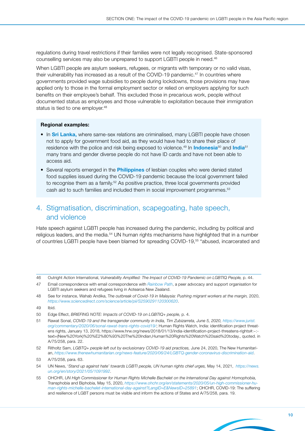regulations during travel restrictions if their families were not legally recognised. State-sponsored counselling services may also be unprepared to support LGBTI people in need.46

When LGBTI people are asylum seekers, refugees, or migrants with temporary or no valid visas, their vulnerability has increased as a result of the COVID-19 pandemic.<sup>47</sup> In countries where governments provided wage subsidies to people during lockdowns, those provisions may have applied only to those in the formal employment sector or relied on employers applying for such benefits on their employee's behalf. This excluded those in precarious work, people without documented status as employees and those vulnerable to exploitation because their immigration status is tied to one employer.<sup>48</sup>

### Regional examples:

- In **Sri Lanka,** where same-sex relations are criminalised, many LGBTI people have chosen not to apply for government food aid, as they would have had to share their place of residence with the police and risk being exposed to violence.<sup>49</sup> In **Indonesia**<sup>50</sup> and **India**<sup>51</sup> many trans and gender diverse people do not have ID cards and have not been able to access aid.
- Several reports emerged in the **Philippines** of lesbian couples who were denied stated food supplies issued during the COVID-19 pandemic because the local government failed to recognise them as a family.<sup>52</sup> As positive practice, three local governments provided cash aid to such families and included them in social improvement programmes.53

## <span id="page-9-0"></span>4. Stigmatisation, discrimination, scapegoating, hate speech, and violence

Hate speech against LGBTI people has increased during the pandemic, including by political and religious leaders, and the media.<sup>54</sup> UN human rights mechanisms have highlighted that in a number of countries LGBTI people have been blamed for spreading COVID-19,<sup>55</sup> "abused, incarcerated and

52 Ritholtz Sam, *LGBTQ+ people left out by exclusionary COVID-19 aid practices,* June 24, 2020, The New Humanitarian, *<https://www.thenewhumanitarian.org/news-feature/2020/06/24/LGBTQ-gender-coronavirus-discrimination-aid>*.

<sup>46</sup> Outright Action International, *Vulnerability Amplified: The Impact of COVID-19 Pandemic on LGBTIQ People,* p. 44.

<sup>47</sup> Email correspondence with email correspondence with *[Rainbow Path](https://rainbowpathnz.com/)*, a peer advocacy and support organisation for LGBTI asylum seekers and refugees living in Aotearoa New Zealand.

<sup>48</sup> See for instance, Wahab Andika, T*he outbreak of Covid-19 in Malaysia: Pushing migrant workers at the margin,* 2020, *<https://www.sciencedirect.com/science/article/pii/S2590291120300620>*.

<sup>49</sup> Ibid.

<sup>50</sup> Edge Effect, *BRIEFING NOTE: Impacts of COVID-19 on LGBTIQ+ people,* p. 4.

<sup>51</sup> Rawat Sonal, *COVID-19 and the transgender community in India, Tim Zubizarreta, June 5, 2020, [https://www.jurist.](https://www.jurist.org/commentary/2020/06/sonal-rawat-trans-rights-covid19/) [org/commentary/2020/06/sonal-rawat-trans-rights-covid19/](https://www.jurist.org/commentary/2020/06/sonal-rawat-trans-rights-covid19/)*; Human Rights Watch, India: identification project threatens rights, January 13, 2018, https://www.hrw.org/news/2018/01/13/india-identification-project-threatens-rights#:~: text=(New%20York)%20%E2%80%93%20The%20Indian,Human%20Rights%20Watch%20said%20today., quoted. in A/75/258, para. 22.

<sup>53</sup> A/75/258, para. 63.

<sup>54</sup> UN News, '*Stand up against hate' towards LGBTI people, UN human rights chief urges,* May 14, 2021, *[https://news.](https://news.un.org/en/story/2021/05/1091992) [un.org/en/story/2021/05/1091992](https://news.un.org/en/story/2021/05/1091992)*.

<sup>55</sup> OHCHR, *UN High Commissioner for Human Rights Michelle Bachelet on the International Day against Homophobia,*  Transphobia and Biphobia, May 15, 2020, *[https://www.ohchr.org/en/statements/2020/05/un-high-commissioner-hu](https://www.ohchr.org/en/statements/2020/05/un-high-commissioner-human-rights-michelle-bachelet-international-day-against?LangID=E&NewsID=25891)[man-rights-michelle-bachelet-international-day-against?LangID=E&NewsID=25891](https://www.ohchr.org/en/statements/2020/05/un-high-commissioner-human-rights-michelle-bachelet-international-day-against?LangID=E&NewsID=25891)*; OHCHR, COVID-19: The suffering and resilience of LGBT persons must be visible and inform the actions of States and A/75/258, para. 19.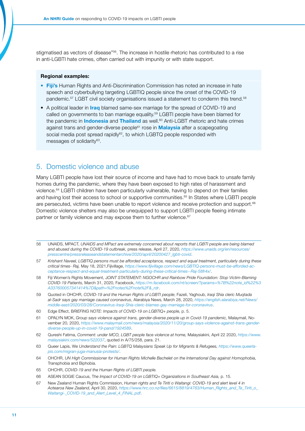stigmatised as vectors of disease"<sup>56</sup>. The increase in hostile rhetoric has contributed to a rise in anti-LGBTI hate crimes, often carried out with impunity or with state support.

#### Regional examples:

- Fiji's Human Rights and Anti-Discrimination Commission has noted an increase in hate speech and cyberbullying targeting LGBTIQ people since the onset of the COVID-19 pandemic.<sup>57</sup> LGBT civil society organisations issued a statement to condemn this trend.<sup>58</sup>
- A political leader in *Iraq* blamed same-sex marriage for the spread of COVID-19 and called on governments to ban marriage equality.<sup>59</sup> LGBTI people have been blamed for the pandemic in **Indonesia** and **Thailand** as well.<sup>60</sup> Anti-LGBT rhetoric and hate crimes against trans and gender-diverse people<sup>61</sup> rose in **Malaysia** after a scapegoating social media post spread rapidly<sup>62</sup>, to which LGBTQ people responded with messages of solidarity<sup>63</sup>.

## <span id="page-10-0"></span>5. Domestic violence and abuse

Many LGBTI people have lost their source of income and have had to move back to unsafe family homes during the pandemic, where they have been exposed to high rates of harassment and violence.64 LGBTI children have been particularly vulnerable, having to depend on their families and having lost their access to school or supportive communities.<sup>65</sup> In States where LGBTI people are persecuted, victims have been unable to report violence and receive protection and support.<sup>66</sup> Domestic violence shelters may also be unequipped to support LGBTI people fleeing intimate partner or family violence and may expose them to further violence.<sup>67</sup>

- 56 UNAIDS, MPACT, *UNAIDS and MPact are extremely concerned about reports that LGBTI people are being blamed and abused during the COVID-19 outbreak,* press release, April 27, 2020, *[https://www.unaids.org/en/resources/](https://www.unaids.org/en/resources/presscentre/pressreleaseandstatementarchive/2020/april/20200427_lgbti-covid) [presscentre/pressreleaseandstatementarchive/2020/april/20200427\\_lgbti-covid](https://www.unaids.org/en/resources/presscentre/pressreleaseandstatementarchive/2020/april/20200427_lgbti-covid)*.
- 57 *Krishant Naveel, LGBTIQ persons must be afforded acceptance, respect and equal treatment, particularly during these critical times- Raj,* May 18, 2021,Fijivillage, *[https://www.fijivillage.com/news/LGBTIQ-persons-must-be-afforded-ac](https://www.fijivillage.com/news/LGBTIQ-persons-must-be-afforded-acceptance-respect-and-equal-treatment-particularly-during-these-critical-times--Raj-58fr4x/)[ceptance-respect-and-equal-treatment-particularly-during-these-critical-times--Raj-58fr4x/](https://www.fijivillage.com/news/LGBTIQ-persons-must-be-afforded-acceptance-respect-and-equal-treatment-particularly-during-these-critical-times--Raj-58fr4x/)*.
- 58 Fiji Women's Rights Movement, J*OINT STATEMENT: NGOCHR and Rainbow Pride Foundation: Stop Victim-Blaming COVID-19 Patients,* March 31, 2020, Facebook, *[https://m.facebook.com/nt/screen/?params=%7B%22note\\_id%22%3](https://m.facebook.com/nt/screen/?params=%7B%22note_id%22%3A337600057341414%7D&path=%2Fnotes%2Fnote%2F&_rdr) [A337600057341414%7D&path=%2Fnotes%2Fnote%2F&\\_rdr](https://m.facebook.com/nt/screen/?params=%7B%22note_id%22%3A337600057341414%7D&path=%2Fnotes%2Fnote%2F&_rdr)*.
- 59 Quoted in OHCHR, *COVID-19 and the Human Rights of LGBTI people*; Fazeli, Yaghoub, *Iraqi Shia cleric Muqtada al-Sadr says gay marriage caused coronavirus*, Alarabiya News, March 28, 2020, *[https://english.alarabiya.net/News/](https://english.alarabiya.net/News/middle-east/2020/03/28/Coronavirus-Iraqi-Shia-cleric-blames-gay-marriage-for-coronavirus) [middle-east/2020/03/28/Coronavirus-Iraqi-Shia-cleric-blames-gay-marriage-for-coronavirus](https://english.alarabiya.net/News/middle-east/2020/03/28/Coronavirus-Iraqi-Shia-cleric-blames-gay-marriage-for-coronavirus)*.
- 60 Edge Effect, B*RIEFING NOTE: Impacts of COVID-19 on LGBTIQ+ people,* p. 5.
- 61 OPALYN MOK, *Group says violence against trans, gender-diverse people up in Covid-19 pandemic,* Malaymail, November 20, 2020, *[https://www.malaymail.com/news/malaysia/2020/11/20/group-says-violence-against-trans-gender](https://www.malaymail.com/news/malaysia/2020/11/20/group-says-violence-against-trans-gender-diverse-people-up-in-covid-19-pand/1924589)[diverse-people-up-in-covid-19-pand/1924589](https://www.malaymail.com/news/malaysia/2020/11/20/group-says-violence-against-trans-gender-diverse-people-up-in-covid-19-pand/1924589)*.
- 62 Qureshi Fatima, *Comment: under MCO, LGBT people face violence at home,* Malaysiakini, April 22 2020, *[https://www.](https://www.malaysiakini.com/news/522037) [malaysiakini.com/news/522037](https://www.malaysiakini.com/news/522037)*, quoted in A/75/258, para. 21.
- 63 Queer Lapis, W*e Understand the Pain: LGBTQ Malaysians Speak Up for Migrants & Refugees, [https://www.queerla](https://www.queerlapis.com/migran-juga-manusia-protests/)[pis.com/migran-juga-manusia-protests/](https://www.queerlapis.com/migran-juga-manusia-protests/)*.
- 64 OHCHR, *UN High Commissioner for Human Rights Michelle Bachelet on the International Day against Homophobia,*  Transphobia and Biphobia.
- 65 OHCHR, *COVID-19 and the Human Rights of LGBTI people.*
- 66 ASEAN SOGIE Caucus, T*he Impact of COVID-19 on LGBTIQ+ Organizations in Southeast Asia,* p. 15.
- 67 New Zealand Human Rights Commission, *Human rights and Te Tiriti o Waitangi: COVID-19 and alert level 4 in Aotearoa New Zealand,* April 30, 2020, *[https://www.hrc.co.nz/files/6615/8819/4763/Human\\_Rights\\_and\\_Te\\_Tiriti\\_o\\_](https://www.hrc.co.nz/files/6615/8819/4763/Human_Rights_and_Te_Tiriti_o_Waitangi-_COVID-19_and_Alert_Level_4_FINAL.pdf?__cf_chl_tk=OA0v_mdNpJJAVLedG5_Mialyiv05IS5905FxMK1qxX4-1647014937-0-gaNycGzNCJE) [Waitangi-\\_COVID-19\\_and\\_Alert\\_Level\\_4\\_FINAL.pdf](https://www.hrc.co.nz/files/6615/8819/4763/Human_Rights_and_Te_Tiriti_o_Waitangi-_COVID-19_and_Alert_Level_4_FINAL.pdf?__cf_chl_tk=OA0v_mdNpJJAVLedG5_Mialyiv05IS5905FxMK1qxX4-1647014937-0-gaNycGzNCJE)*.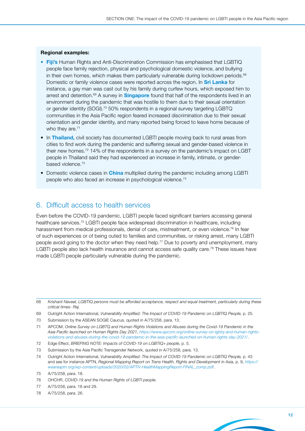#### Regional examples:

- Fiji's Human Rights and Anti-Discrimination Commission has emphasised that LGBTIQ people face family rejection, physical and psychological domestic violence, and bullying in their own homes, which makes them particularly vulnerable during lockdown periods. $68$ Domestic or family violence cases were reported across the region. In **Sri Lanka** for instance, a gay man was cast out by his family during curfew hours, which exposed him to arrest and detention. $69$  A survey in **Singapore** found that half of the respondents lived in an environment during the pandemic that was hostile to them due to their sexual orientation or gender identity (SOGI).<sup>70</sup> 50% respondents in a regional survey targeting LGBTQ communities in the Asia Pacific region feared increased discrimination due to their sexual orientation and gender identity, and many reported being forced to leave home because of who they are.<sup>71</sup>
- In Thailand, civil society has documented LGBTI people moving back to rural areas from cities to find work during the pandemic and suffering sexual and gender-based violence in their new homes.72 14% of the respondents in a survey on the pandemic's impact on LGBT people in Thailand said they had experienced an increase in family, intimate, or genderbased violence.<sup>73</sup>
- Domestic violence cases in *China* multiplied during the pandemic including among LGBTI people who also faced an increase in psychological violence.<sup>74</sup>

## <span id="page-11-0"></span>6. Difficult access to health services

Even before the COVID-19 pandemic, LGBTI people faced significant barriers accessing general healthcare services.75 LGBTI people face widespread discrimination in healthcare, including harassment from medical professionals, denial of care, mistreatment, or even violence.<sup>76</sup> In fear of such experiences or of being outed to families and communities, or risking arrest, many LGBTI people avoid going to the doctor when they need help.<sup>77</sup> Due to poverty and unemployment, many LGBTI people also lack health insurance and cannot access safe quality care.<sup>78</sup> These issues have made LGBTI people particularly vulnerable during the pandemic.

<sup>68</sup> *Krishant Naveel, LGBTIQ persons must be afforded acceptance, respect and equal treatment, particularly during these critical times- Raj.*

<sup>69</sup> Outright Action International, *Vulnerability Amplified: The Impact of COVID-19 Pandemic on LGBTIQ People*, p. 25.

<sup>70</sup> Submission by the ASEAN SOGIE Caucus, quoted in A/75/258, para. 13.

<sup>71</sup> APCOM, *Online Survey on LGBTQ and Human Rights Violations and Abuses during the Covid-19 Pandemic in the Asia Pacific launched on Human Rights Day 2021*, *[https://www.apcom.org/online-survey-on-lgbtq-and-human-rights](https://www.apcom.org/online-survey-on-lgbtq-and-human-rights-violations-and-abuses-during-the-covid-19-pandemic-in-the-asia-pacific-launched-on-human-rights-day-2021/)[violations-and-abuses-during-the-covid-19-pandemic-in-the-asia-pacific-launched-on-human-rights-day-2021/](https://www.apcom.org/online-survey-on-lgbtq-and-human-rights-violations-and-abuses-during-the-covid-19-pandemic-in-the-asia-pacific-launched-on-human-rights-day-2021/)*.

<sup>72</sup> Edge Effect, *BRIEFING NOTE: Impacts of COVID-19 on LGBTIQ+ people,* p. 5.

<sup>73</sup> Submission by the Asia Pacific Transgender Network, quoted in A/75/258, para. 13.

<sup>74</sup> Outright Action International, *Vulnerability Amplified: The Impact of COVID-19 Pandemic on LGBTIQ People,* p. 43 and see for instance APTN, *Regional Mapping Report on Trans Health, Rights and Development in Asia, p. 9, [https://](https://weareaptn.org/wp-content/uploads/2020/02/APTN-HealthMappingReport-FINAL_comp.pdf) [weareaptn.org/wp-content/uploads/2020/02/APTN-HealthMappingReport-FINAL\\_comp.pdf](https://weareaptn.org/wp-content/uploads/2020/02/APTN-HealthMappingReport-FINAL_comp.pdf)*.

<sup>75</sup> A/75/258, para. 18.

<sup>76</sup> OHCHR, *COVID-19 and the Human Rights of LGBTI people.*

<sup>77</sup> A/75/258, para. 18 and 29.

<sup>78</sup> A/75/258, para. 26.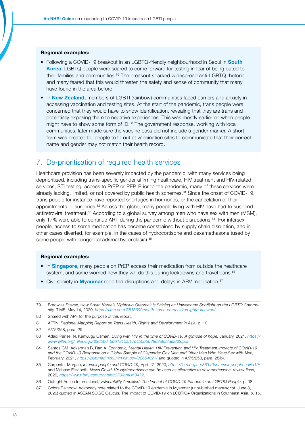#### Regional examples:

- Following a COVID-19 breakout in an LGBTQ-friendly neighbourhood in Seoul in South Korea, LGBTQ people were scared to come forward for testing in fear of being outed to their families and communities.79 The breakout sparked widespread anti-LGBTQ rhetoric and many feared that this would threaten the safety and sense of community that many have found in the area before.
- In New Zealand, members of LGBTI (rainbow) communities faced barriers and anxiety in accessing vaccination and testing sites. At the start of the pandemic, trans people were concerned that they would have to show identification, revealing that they are trans and potentially exposing them to negative experiences. This was mostly earlier on when people might have to show some form of ID.<sup>80</sup> The government response, working with local communities, later made sure the vaccine pass did not include a gender marker. A short form was created for people to fill out at vaccination sites to communicate that their correct name and gender may not match their health record.

## <span id="page-12-0"></span>7. De-prioritisation of required health services

Healthcare provision has been severely impacted by the pandemic, with many services being deprioritised, including trans-specific gender affirming healthcare, HIV treatment and HIV-related services, STI testing, access to PrEP or PEP. Prior to the pandemic, many of these services were already lacking, limited, or not covered by public health schemes.<sup>81</sup> Since the onset of COVID-19, trans people for instance have reported shortages in hormones, or the cancelation of their appointments or surgeries.<sup>82</sup> Across the globe, many people living with HIV have had to suspend antiretroviral treatment.83 According to a global survey among men who have sex with men (MSM), only 17% were able to continue ART during the pandemic without disruptions.<sup>84</sup> For intersex people, access to some medication has become constrained by supply chain disruption, and in other cases diverted, for example, in the cases of hydrocortisone and dexamethasone (used by some people with congenital adrenal hyperplasia).<sup>85</sup>

#### Regional examples:

- In **Singapore**, many people on PrEP access their medication from outside the healthcare system, and some worried how they will do this during lockdowns and travel bans.<sup>86</sup>
- Civil society in **Myanmar** reported disruptions and delays in ARV medication.<sup>87</sup>

81 APTN, *Regional Mapping Report on Trans Health, Rights and Development in Asia,* p. 10.

- 84 Santos GM, Ackerman B, Rao A, *Economic, Mental Health, HIV Prevention and HIV Treatment Impacts of COVID-19 and the COVID-19 Response on a Global Sample of Cisgender Gay Men and Other Men Who Have Sex with Men,* February, 2021, *<https://pubmed.ncbi.nlm.nih.gov/32654021/>* and quoted in A/75/258, para. 28(b).
- 85 Carpenter Morgan, *Intersex people and COVID-19,* April 12, 2020, *<https://ihra.org.au/36340/intersex-people-covid19/>* and Mahase Elisabeth, *News Covid-19: Hydrocortisone can be used as alternative to dexamethasone, review finds,*  2020*, <https://www.bmj.com/content/370/bmj.m3472>*.
- 86 Outright Action International, *Vulnerability Amplified: The Impact of COVID-19 Pandemic on LGBTIQ People*, p. 38.
- 87 Colors Rainbow, Advocacy note related to the COVID-19 epidemic in Myanmar (unpublished manuscript, June 3, 2020) quoted in ASEAN SOGIE Caucus, The Impact of COVID-19 on LGBTIQ+ Organizations in Southeast Asia, p. 15.

<sup>79</sup> Borowiez Steven, *How South Korea's Nightclub Outbreak Is Shining an Unwelcome Spotlight on the LGBTQ Community,* TIME, May 14, 2020, *<https://time.com/5836699/south-korea-coronavirus-lgbtq-itaewon/>*.

<sup>80</sup> Shared with APF for the purpose of this report.

<sup>82</sup> A/75/258, para. 29.

<sup>83</sup> Adadi Parise, N. Kanwugu Osman, *Living with HIV in the time of COVID-19: A glimpse of hope,* January, 2021, *[https://](https://www.wlhiv.org/_files/ugd/836bb6_6dd1315af17c4b0bb088d8e837aef632.pdf) [www.wlhiv.org/\\_files/ugd/836bb6\\_6dd1315af17c4b0bb088d8e837aef632.pdf](https://www.wlhiv.org/_files/ugd/836bb6_6dd1315af17c4b0bb088d8e837aef632.pdf)*.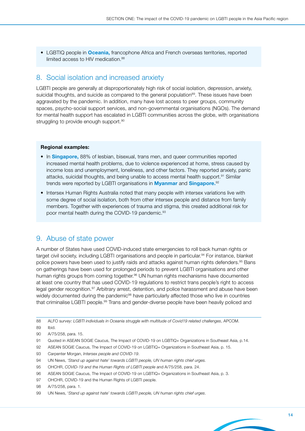• LGBTIQ people in Oceania, francophone Africa and French overseas territories, reported limited access to HIV medication.<sup>88</sup>

## <span id="page-13-0"></span>8. Social isolation and increased anxiety

LGBTI people are generally at disproportionately high risk of social isolation, depression, anxiety, suicidal thoughts, and suicide as compared to the general population<sup>89</sup>. These issues have been aggravated by the pandemic. In addition, many have lost access to peer groups, community spaces, psycho-social support services, and non-governmental organisations (NGOs). The demand for mental health support has escalated in LGBTI communities across the globe, with organisations struggling to provide enough support.<sup>90</sup>

#### Regional examples:

- In **Singapore,** 88% of lesbian, bisexual, trans men, and queer communities reported increased mental health problems, due to violence experienced at home, stress caused by income loss and unemployment, loneliness, and other factors. They reported anxiety, panic attacks, suicidal thoughts, and being unable to access mental health support.91 Similar trends were reported by LGBTI organisations in **Myanmar** and **Singapore.**<sup>92</sup>
- Intersex Human Rights Australia noted that many people with intersex variations live with some degree of social isolation, both from other intersex people and distance from family members. Together with experiences of trauma and stigma, this created additional risk for poor mental health during the COVID-19 pandemic.<sup>93</sup>

## <span id="page-13-1"></span>9. Abuse of state power

A number of States have used COVID-induced state emergencies to roll back human rights or target civil society, including LGBTI organisations and people in particular.<sup>94</sup> For instance, blanket police powers have been used to justify raids and attacks against human rights defenders.<sup>95</sup> Bans on gatherings have been used for prolonged periods to prevent LGBTI organisations and other human rights groups from coming together.<sup>96</sup> UN human rights mechanisms have documented at least one country that has used COVID-19 regulations to restrict trans people's right to access legal gender recognition.<sup>97</sup> Arbitrary arrest, detention, and police harassment and abuse have been widely documented during the pandemic<sup>98</sup> have particularly affected those who live in countries that criminalise LGBTI people.<sup>99</sup> Trans and gender-diverse people have been heavily policed and

- 92 ASEAN SOGIE Caucus, The Impact of COVID-19 on LGBTIQ+ Organizations in Southeast Asia, p. 15.
- 93 Carpenter Morgan, *Intersex people and COVID-19*.
- 94 UN News, *'Stand up against hate' towards LGBTI people, UN human rights chief urges.*
- 95 OHCHR, *COVID-19 and the Human Rights of LGBTI people* and A/75/258, para. 24.
- 96 ASEAN SOGIE Caucus, The Impact of COVID-19 on LGBTIQ+ Organizations in Southeast Asia, p. 3.
- 97 OHCHR, COVID-19 and the Human Rights of LGBTI people.
- 98 A/75/258, para. 1.

<sup>88</sup> ALFO s*urvey: LGBTI individuals in Oceania struggle with multitude of Covid19 related challenges*, APCOM.

<sup>89</sup> Ibid.

<sup>90</sup> A/75/258, para. 15.

<sup>91</sup> Quoted in ASEAN SOGIE Caucus, The Impact of COVID-19 on LGBTIQ+ Organizations in Southeast Asia, p.14.

<sup>99</sup> UN News, '*Stand up against hate' towards LGBTI people, UN human rights chief urges*.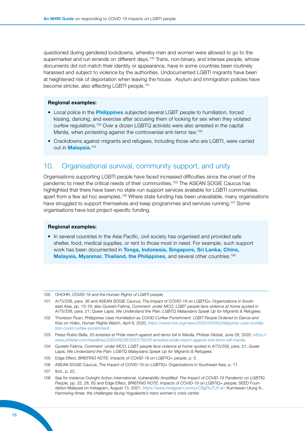questioned during gendered lockdowns, whereby men and women were allowed to go to the supermarket and run errands on different days.<sup>100</sup> Trans, non-binary, and intersex people, whose documents did not match their identity or appearance, have in some countries been routinely harassed and subject to violence by the authorities. Undocumented LGBTI migrants have been at heightened risk of deportation when leaving the house. Asylum and immigration policies have become stricter, also affecting LGBTI people.<sup>101</sup>

### Regional examples:

- Local police in the **Philippines** subjected several LGBT people to humiliation, forced kissing, dancing, and exercise after accusing them of looking for sex when they violated curfew regulations.102 Over a dozen LGBTQ activists were also arrested in the capital Manila, when protesting against the controversial anti-terror law.<sup>103</sup>
- Crackdowns against migrants and refugees, including those who are LGBTI, were carried out in **Malaysia.**<sup>104</sup>

## <span id="page-14-0"></span>10. Organisational survival, community support, and unity

Organisations supporting LGBTI people have faced increased difficulties since the onset of the pandemic to meet the critical needs of their communities.<sup>105</sup> The ASEAN SOGIE Caucus has highlighted that there have been no state-run support services available for LGBTI communities, apart from a few ad hoc examples.<sup>106</sup> Where state funding has been unavailable, many organisations have struggled to support themselves and keep programmes and services running.<sup>107</sup> Some organisations have lost project-specific funding.

### Regional examples:

• In several countries in the Asia Pacific, civil society has organised and provided safe shelter, food, medical supplies, or rent to those most in need. For example, such support work has been documented in Tonga, Indonesia, Singapore, Sri Lanka, China, Malaysia, Myanmar, Thailand, the Philippines, and several other countries.<sup>108</sup>

<sup>100</sup> OHCHR, *COVID-19 and the Human Rights of LGBTI people.*

<sup>101</sup> A/75/258, para. 36 and ASEAN SOGIE Caucus, The Impact of COVID-19 on LGBTIQ+ Organizations in Southeast Asia, pp. 15-16; also Qureshi Fatima, C*omment: under MCO, LGBT people face violence at home* quoted in A/75/258, para. 21; Queer Lapis, *We Understand the Pain: LGBTQ Malaysians Speak Up for Migrants & Refugees.*

<sup>102</sup> Thoreson Ryan, *Philippines Uses Humiliation as COVID Curfew Punishment: LGBT People Ordered to Dance and Kiss on Video*, Human Rights Watch, April 8, 2020, *[https://www.hrw.org/news/2020/04/08/philippines-uses-humilia](https://www.hrw.org/news/2020/04/08/philippines-uses-humiliation-covid-curfew-punishment)[tion-covid-curfew-punishment](https://www.hrw.org/news/2020/04/08/philippines-uses-humiliation-covid-curfew-punishment)*.

<sup>103</sup> Perez-Rubio Bella, *20 arrested at Pride march against anti-terror bill in Manila,* Philstar Global, June 26, 2020, *[https://](https://www.philstar.com/headlines/2020/06/26/2023739/20-arrested-pride-march-against-anti-terror-bill-manila) [www.philstar.com/headlines/2020/06/26/2023739/20-arrested-pride-march-against-anti-terror-bill-manila](https://www.philstar.com/headlines/2020/06/26/2023739/20-arrested-pride-march-against-anti-terror-bill-manila)*.

<sup>104</sup> Qureshi Fatima, *Comment: under MCO, LGBT people face violence at home* quoted in A/75/258, para. 21; Queer Lapis, *We Understand the Pain: LGBTQ Malaysians Speak Up for Migrants & Refugees.*

<sup>105</sup> Edge Effect, *BRIEFING NOTE: Impacts of COVID-19 on LGBTIQ+ people*, p. 5.

<sup>106</sup> ASEAN SOGIE Caucus, The Impact of COVID-19 on LGBTIQ+ Organizations in Southeast Asia, p. 17.

<sup>107</sup> Ibid., p. 22.

<sup>108</sup> See for instance Outright Action International, V*ulnerability Amplified: The Impact of COVID-19 Pandemic on LGBTIQ People,* pp. 25, 28, 65 and Edge Effect, *BRIEFING NOTE: Impacts of COVID-19 on LGBTIQ+ people;* SEED Foundation Malaysia on Instagram, August 13, 2021, *<https://www.instagram.com/p/CSgPxJTJV-e/>*; Kurniawan Ulung A., *Harrowing times: the challenges facing Yogyakarta's trans women's crisis center.*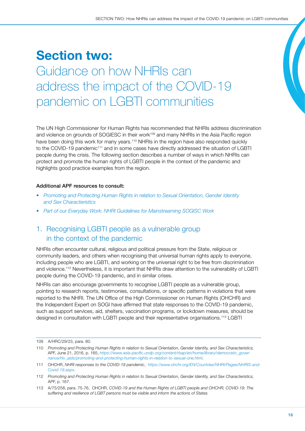## <span id="page-15-0"></span>Section two: Guidance on how NHRIs can address the impact of the COVID-19 pandemic on LGBTI communities

The UN High Commissioner for Human Rights has recommended that NHRIs address discrimination and violence on grounds of SOGIESC in their work<sup>109</sup> and many NHRIs in the Asia Pacific region have been doing this work for many years.<sup>110</sup> NHRIs in the region have also responded quickly to the COVID-19 pandemic<sup>111</sup> and in some cases have directly addressed the situation of LGBTI people during the crisis. The following section describes a number of ways in which NHRIs can protect and promote the human rights of LGBTI people in the context of the pandemic and highlights good practice examples from the region.

## Additional APF resources to consult:

- *[Promoting and Protecting Human Rights in relation to Sexual Orientation, Gender Identity](https://www.asiapacificforum.net/resources/manual-sogi-and-sex-charactersitics/)  [and Sex Characteristics](https://www.asiapacificforum.net/resources/manual-sogi-and-sex-charactersitics/)*
- *[Part of our Everyday Work: NHRI Guidelines for Mainstreaming SOGISC Work](https://www.asiapacificforum.net/resources/guidelines-mainstreaming-sexual-orientation-gender-identity-and-sex-characteristics-work/)*

## <span id="page-15-1"></span>1. Recognising LGBTI people as a vulnerable group in the context of the pandemic

NHRIs often encounter cultural, religious and political pressure from the State, religious or community leaders, and others when recognising that universal human rights apply to everyone, including people who are LGBTI, and working on the universal right to be free from discrimination and violence.<sup>112</sup> Nevertheless, it is important that NHRIs draw attention to the vulnerability of LGBTI people during the COVID-19 pandemic, and in similar crises.

NHRIs can also encourage governments to recognise LGBTI people as a vulnerable group, pointing to research reports, testimonies, consultations, or specific patterns in violations that were reported to the NHRI. The UN Office of the High Commissioner on Human Rights (OHCHR) and the Independent Expert on SOGI have affirmed that state responses to the COVID-19 pandemic, such as support services, aid, shelters, vaccination programs, or lockdown measures, should be designed in consultation with LGBTI people and their representative organisations.113 LGBTI

<sup>109</sup> A/HRC/29/23, para. 80.

<sup>110</sup> *Promoting and Protecting Human Rights in relation to Sexual Orientation, Gender Identity, and Sex Characteristics,*  APF, June 21, 2016, p. 165, *[https://www.asia-pacific.undp.org/content/rbap/en/home/library/democratic\\_gover](https://www.asia-pacific.undp.org/content/rbap/en/home/library/democratic_governance/hiv_aids/promoting-and-protecting-human-rights-in-relation-to-sexual-orie.html)[nance/hiv\\_aids/promoting-and-protecting-human-rights-in-relation-to-sexual-orie.html](https://www.asia-pacific.undp.org/content/rbap/en/home/library/democratic_governance/hiv_aids/promoting-and-protecting-human-rights-in-relation-to-sexual-orie.html)*.

<sup>111</sup> OHCHR, *NHRI responses to the COVID-19 pandemic*, *[https://www.ohchr.org/EN/Countries/NHRI/Pages/NHRIS-and-](https://www.ohchr.org/EN/Countries/NHRI/Pages/NHRIS-and-Covid-19.aspx)[Covid-19.aspx](https://www.ohchr.org/EN/Countries/NHRI/Pages/NHRIS-and-Covid-19.aspx)*.

<sup>112</sup> *Promoting and Protecting Human Rights in relation to Sexual Orientation, Gender Identity, and Sex Characteristics,*  APF, p. 167.

<sup>113</sup> A/75/258, para. 75-76, OHCHR, *COVID-19 and the Human Rights of LGBTI people and OHCHR, COVID-19: The suffering and resilience of LGBT persons must be visible and inform the actions of States.*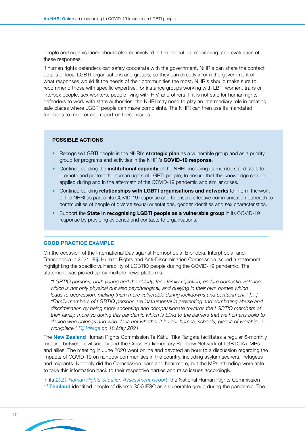people and organisations should also be involved in the execution, monitoring, and evaluation of these responses.

If human rights defenders can safely cooperate with the government, NHRIs can share the contact details of local LGBTI organisations and groups, so they can directly inform the government of what responses would fit the needs of their communities the most. NHRIs should make sure to recommend those with specific expertise, for instance groups working with LBTI women, trans or intersex people, sex workers, people living with HIV, and others. If it is not safe for human rights defenders to work with state authorities, the NHRI may need to play an intermediary role in creating safe places where LGBTI people can make complaints. The NHRI can then use its mandated functions to monitor and report on these issues.

### POSSIBLE ACTIONS

- Recognise LGBTI people in the NHRI's **strategic plan** as a vulnerable group and as a priority group for programs and activities in the NHRI's COVID-19 response.
- Continue building the **institutional capacity** of the NHRI, including its members and staff, to promote and protect the human rights of LGBTI people, to ensure that this knowledge can be applied during and in the aftermath of the COVID-19 pandemic and similar crises.
- Continue building **relationships with LGBTI organisations and networks** to inform the work of the NHRI as part of its COVID-19 response and to ensure effective communication outreach to communities of people of diverse sexual orientations, gender identities and sex characteristics.
- Support the State in recognising LGBTI people as a vulnerable group in its COVID-19 response by providing evidence and contacts to organisations.

#### GOOD PRACTICE EXAMPLE

On the occasion of the International Day against Homophobia, Biphobia, Interphobia, and Transphobia in 2021, Fiji Human Rights and Anti-Discrimination Commission issued a statement highlighting the specific vulnerability of LGBTIQ people during the COVID-19 pandemic. The statement was picked up by multiple news platforms:

*"LGBTIQ persons, both young and the elderly, face family rejection, endure domestic violence which is not only physical but also psychological, and bullying in their own homes which leads to depression, making them more vulnerable during lockdowns and containment." […] "Family members of LGBTIQ persons are instrumental in preventing and combating abuse and discrimination by being more accepting and compassionate towards the LGBTIQ members of their family, more so during this pandemic which is blind to the barriers that we humans build to decide who belongs and who does not whether it be our homes, schools, places of worship, or workplace." [Fiji Village](https://www.fijivillage.com/news/LGBTIQ-persons-must-be-afforded-acceptance-respect-and-equal-treatment-particularly-during-these-critical-times--Raj-58fr4x/) on 18 May 2021*

The **New Zealand** Human Rights Commission Te Kāhui Tika Tangata facilitates a regular 6-monthly meeting between civil society and the Cross-Parliamentary Rainbow Network of LGBTQIA+ MPs and allies. The meeting in June 2020 went online and devoted an hour to a discussion regarding the impacts of COVID-19 on rainbow communities in the country, including asylum seekers, refugees and migrants. Not only did the Commission learn and hear more, but the MPs attending were able to take this information back to their respective parties and raise issues accordingly.

In its *[2021 Human Rights Situation Assessment Report](https://www.nhrc.or.th/getattachment/2bae96ae-b097-428d-bf72-ba693d4b0596/Situation2021.aspx)*, the National Human Rights Commission of Thailand identified people of diverse SOGIESC as a vulnerable group during the pandemic. The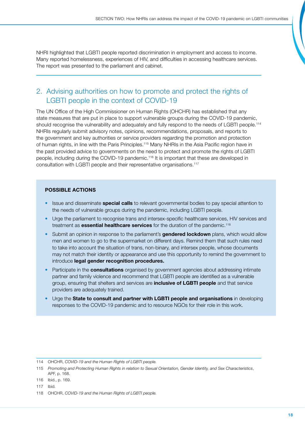<span id="page-17-0"></span>NHRI highlighted that LGBTI people reported discrimination in employment and access to income. Many reported homelessness, experiences of HIV, and difficulties in accessing healthcare services. The report was presented to the parliament and cabinet.

## 2. Advising authorities on how to promote and protect the rights of LGBTI people in the context of COVID-19

The UN Office of the High Commissioner on Human Rights (OHCHR) has established that any state measures that are put in place to support vulnerable groups during the COVID-19 pandemic, should recognise the vulnerability and adequately and fully respond to the needs of LGBTI people.<sup>114</sup> NHRIs regularly submit advisory notes, opinions, recommendations, proposals, and reports to the government and key authorities or service providers regarding the promotion and protection of human rights, in line with the Paris Principles.115 Many NHRIs in the Asia Pacific region have in the past provided advice to governments on the need to protect and promote the rights of LGBTI people, including during the COVID-19 pandemic.116 It is important that these are developed in consultation with LGBTI people and their representative organisations.117

## POSSIBLE ACTIONS

- Issue and disseminate **special calls** to relevant governmental bodies to pay special attention to the needs of vulnerable groups during the pandemic, including LGBTI people.
- Urge the parliament to recognise trans and intersex-specific healthcare services, HIV services and treatment as **essential healthcare services** for the duration of the pandemic.<sup>118</sup>
- Submit an opinion in response to the parliament's **gendered lockdown** plans, which would allow men and women to go to the supermarket on different days. Remind them that such rules need to take into account the situation of trans, non-binary, and intersex people, whose documents may not match their identity or appearance and use this opportunity to remind the government to introduce legal gender recognition procedures.
- Participate in the **consultations** organised by government agencies about addressing intimate partner and family violence and recommend that LGBTI people are identified as a vulnerable group, ensuring that shelters and services are *inclusive of LGBTI people* and that service providers are adequately trained.
- Urge the State to consult and partner with LGBTI people and organisations in developing responses to the COVID-19 pandemic and to resource NGOs for their role in this work.

<sup>114</sup> OHCHR, *COVID-19 and the Human Rights of LGBTI people.*

<sup>115</sup> *Promoting and Protecting Human Rights in relation to Sexual Orientation, Gender Identity, and Sex Characteristics*, APF, p. 168.

<sup>116</sup> Ibid., p. 169.

<sup>117</sup> Ibid.

<sup>118</sup> OHCHR, *COVID-19 and the Human Rights of LGBTI people.*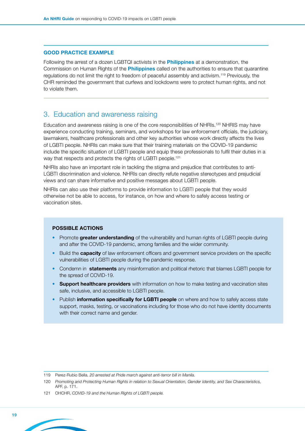### <span id="page-18-0"></span>GOOD PRACTICE EXAMPLE

Following the arrest of a dozen LGBTQI activists in the **Philippines** at a demonstration, the Commission on Human Rights of the **Philippines** called on the authorities to ensure that quarantine regulations do not limit the right to freedom of peaceful assembly and activism.119 Previously, the CHR reminded the government that curfews and lockdowns were to protect human rights, and not to violate them.

## 3. Education and awareness raising

Education and awareness raising is one of the core responsibilities of NHRIs.<sup>120</sup> NHRIS may have experience conducting training, seminars, and workshops for law enforcement officials, the judiciary, lawmakers, healthcare professionals and other key authorities whose work directly affects the lives of LGBTI people. NHRIs can make sure that their training materials on the COVID-19 pandemic include the specific situation of LGBTI people and equip these professionals to fulfil their duties in a way that respects and protects the rights of LGBTI people.<sup>121</sup>

NHRIs also have an important role in tackling the stigma and prejudice that contributes to anti-LGBTI discrimination and violence. NHRIs can directly refute negative stereotypes and prejudicial views and can share informative and positive messages about LGBTI people.

NHRIs can also use their platforms to provide information to LGBTI people that they would otherwise not be able to access, for instance, on how and where to safely access testing or vaccination sites.

#### POSSIBLE ACTIONS

- Promote greater understanding of the vulnerability and human rights of LGBTI people during and after the COVID-19 pandemic, among families and the wider community.
- Build the **capacity** of law enforcement officers and government service providers on the specific vulnerabilities of LGBTI people during the pandemic response.
- Condemn in statements any misinformation and political rhetoric that blames LGBTI people for the spread of COVID-19.
- Support healthcare providers with information on how to make testing and vaccination sites safe, inclusive, and accessible to LGBTI people.
- Publish information specifically for LGBTI people on where and how to safely access state support, masks, testing, or vaccinations including for those who do not have identity documents with their correct name and gender.

<sup>119</sup> Perez-Rubio Bella, *20 arrested at Pride march against anti-terror bill in Manila.*

<sup>120</sup> *Promoting and Protecting Human Rights in relation to Sexual Orientation, Gender Identity, and Sex Characteristics,* APF, p. 171.

<sup>121</sup> OHCHR, *COVID-19 and the Human Rights of LGBTI people.*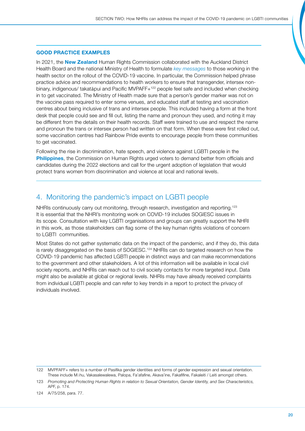## <span id="page-19-0"></span>GOOD PRACTICE EXAMPLES

In 2021, the **New Zealand** Human Rights Commission collaborated with the Auckland District Health Board and the national Ministry of Health to formulate *[key messages](http://covid-19vaccine.createsend1.com/t/ViewEmail/i/0DB9D0339A257EDC2540EF23F30FEDED)* to those working in the health sector on the rollout of the COVID-19 vaccine. In particular, the Commission helped phrase practice advice and recommendations to health workers to ensure that transgender, intersex nonbinary, indigenous/ takatāpui and Pacific MVPAFF+122 people feel safe and included when checking in to get vaccinated. The Ministry of Health made sure that a person's gender marker was not on the vaccine pass required to enter some venues, and educated staff at testing and vaccination centres about being inclusive of trans and intersex people. This included having a form at the front desk that people could see and fill out, listing the name and pronoun they used, and noting it may be different from the details on their health records. Staff were trained to use and respect the name and pronoun the trans or intersex person had written on that form. When these were first rolled out, some vaccination centres had Rainbow Pride events to encourage people from these communities to get vaccinated.

Following the rise in discrimination, hate speech, and violence against LGBTI people in the Philippines, the Commission on Human Rights urged voters to demand better from officials and candidates during the 2022 elections and call for the urgent adoption of legislation that would protect trans women from discrimination and violence at local and national levels.

## 4. Monitoring the pandemic's impact on LGBTI people

NHRIs continuously carry out monitoring, through research, investigation and reporting.<sup>123</sup> It is essential that the NHRI's monitoring work on COVID-19 includes SOGIESC issues in its scope. Consultation with key LGBTI organisations and groups can greatly support the NHRI in this work, as those stakeholders can flag some of the key human rights violations of concern to LGBTI communities.

Most States do not gather systematic data on the impact of the pandemic, and if they do, this data is rarely disaggregated on the basis of SOGIESC.124 NHRIs can do targeted research on how the COVID-19 pandemic has affected LGBTI people in distinct ways and can make recommendations to the government and other stakeholders. A lot of this information will be available in local civil society reports, and NHRIs can reach out to civil society contacts for more targeted input. Data might also be available at global or regional levels. NHRIs may have already received complaints from individual LGBTI people and can refer to key trends in a report to protect the privacy of individuals involved.

<sup>122</sup> MVPFAFF+ refers to a number of Pasifika gender identities and forms of gender expression and sexual orientation. These include Māhu, Vakasalewalewa, Palopa, Fa'afafine, Akava'ine, Fakafifine, Fakaleiti / Leiti amongst others.

<sup>123</sup> *Promoting and Protecting Human Rights in relation to Sexual Orientation, Gender Identity, and Sex Characteristics,*  APF, p. 174.

<sup>124</sup> A/75/258, para. 77.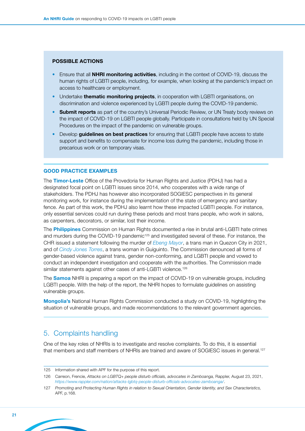#### <span id="page-20-0"></span>POSSIBLE ACTIONS

- Ensure that all **NHRI monitoring activities**, including in the context of COVID-19, discuss the human rights of LGBTI people, including, for example, when looking at the pandemic's impact on access to healthcare or employment.
- Undertake thematic monitoring projects, in cooperation with LGBTI organisations, on discrimination and violence experienced by LGBTI people during the COVID-19 pandemic.
- Submit reports as part of the country's Universal Periodic Review, or UN Treaty body reviews on the impact of COVID-19 on LGBTI people globally. Participate in consultations held by UN Special Procedures on the impact of the pandemic on vulnerable groups.
- Develop **guidelines on best practices** for ensuring that LGBTI people have access to state support and benefits to compensate for income loss during the pandemic, including those in precarious work or on temporary visas.

#### GOOD PRACTICE EXAMPLES

The Timor-Leste Office of the Provedoria for Human Rights and Justice (PDHJ) has had a designated focal point on LGBTI issues since 2014, who cooperates with a wide range of stakeholders. The PDHJ has however also incorporated SOGIESC perspectives in its general monitoring work, for instance during the implementation of the state of emergency and sanitary fence. As part of this work, the PDHJ also learnt how these impacted LGBTI people. For instance, only essential services could run during these periods and most trans people, who work in salons, as carpenters, decorators, or similar, lost their income.

The **Philippines** Commission on Human Rights documented a rise in brutal anti-LGBTI hate crimes and murders during the COVID-19 pandemic<sup>125</sup> and investigated several of these. For instance, the CHR issued a statement following the murder of *[Ebeng Mayor](https://www.facebook.com/784522714997609/photos/a.784575471659000/3837416216374895/)*, a trans man in Quezon City in 2021, and of *[Cindy Jones Torres](https://chr.gov.ph/statement-of-chr-spokesperson-atty-jacqueline-ann-de-guia-on-the-killing-of-transgender-woman-cindy-jones-torres/)*, a trans woman in Guiguinto. The Commission denounced all forms of gender-based violence against trans, gender non-conforming, and LGBTI people and vowed to conduct an independent investigation and cooperate with the authorities. The Commission made similar statements against other cases of anti-LGBTI violence.<sup>126</sup>

The **Samoa** NHRI is preparing a report on the impact of COVID-19 on vulnerable groups, including LGBTI people. With the help of the report, the NHRI hopes to formulate guidelines on assisting vulnerable groups.

Mongolia's National Human Rights Commission conducted a study on COVID-19, highlighting the situation of vulnerable groups, and made recommendations to the relevant government agencies.

## 5. Complaints handling

One of the key roles of NHRIs is to investigate and resolve complaints. To do this, it is essential that members and staff members of NHRIs are trained and aware of SOGIESC issues in general.<sup>127</sup>

<sup>125</sup> Information shared with APF for the purpose of this report.

<sup>126</sup> Carreon, Frencie, *Attacks on LGBTQ+ people disturb officials, advocates in Zamboanga,* Rappler, August 23, 2021, *<https://www.rappler.com/nation/attacks-lgbtq-people-disturb-officials-advocates-zamboanga/>*.

<sup>127</sup> *Promoting and Protecting Human Rights in relation to Sexual Orientation, Gender Identity, and Sex Characteristics,*  APF, p.168.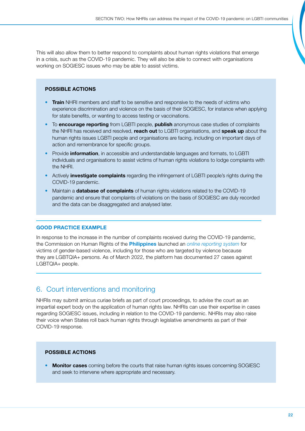<span id="page-21-0"></span>This will also allow them to better respond to complaints about human rights violations that emerge in a crisis, such as the COVID-19 pandemic. They will also be able to connect with organisations working on SOGIESC issues who may be able to assist victims.

### POSSIBLE ACTIONS

- Train NHRI members and staff to be sensitive and responsive to the needs of victims who experience discrimination and violence on the basis of their SOGIESC, for instance when applying for state benefits, or wanting to access testing or vaccinations.
- To **encourage reporting** from LGBTI people, **publish** anonymous case studies of complaints the NHRI has received and resolved, reach out to LGBTI organisations, and speak up about the human rights issues LGBTI people and organisations are facing, including on important days of action and remembrance for specific groups.
- Provide *information*, in accessible and understandable languages and formats, to LGBTI individuals and organisations to assist victims of human rights violations to lodge complaints with the NHRI.
- Actively **investigate complaints** regarding the infringement of LGBTI people's rights during the COVID-19 pandemic.
- Maintain a **database of complaints** of human rights violations related to the COVID-19 pandemic and ensure that complaints of violations on the basis of SOGIESC are duly recorded and the data can be disaggregated and analysed later.

## GOOD PRACTICE EXAMPLE

In response to the increase in the number of complaints received during the COVID-19 pandemic, the Commission on Human Rights of the Philippines launched an *[online reporting system](https://www.gbvcovid.report/)* for victims of gender-based violence, including for those who are targeted by violence because they are LGBTQIA+ persons. As of March 2022, the platform has documented 27 cases against LGBTQIA+ people.

## 6. Court interventions and monitoring

NHRIs may submit amicus curiae briefs as part of court proceedings, to advise the court as an impartial expert body on the application of human rights law. NHRIs can use their expertise in cases regarding SOGIESC issues, including in relation to the COVID-19 pandemic. NHRIs may also raise their voice when States roll back human rights through legislative amendments as part of their COVID-19 response.

## POSSIBLE ACTIONS

**Monitor cases** coming before the courts that raise human rights issues concerning SOGIESC and seek to intervene where appropriate and necessary.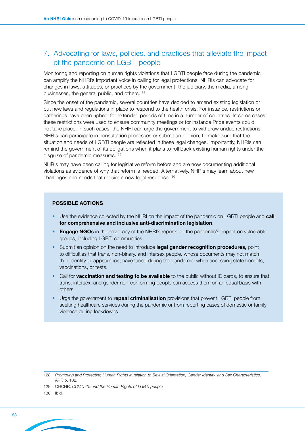## <span id="page-22-0"></span>7. Advocating for laws, policies, and practices that alleviate the impact of the pandemic on LGBTI people

Monitoring and reporting on human rights violations that LGBTI people face during the pandemic can amplify the NHRI's important voice in calling for legal protections. NHRIs can advocate for changes in laws, attitudes, or practices by the government, the judiciary, the media, among businesses, the general public, and others.128

Since the onset of the pandemic, several countries have decided to amend existing legislation or put new laws and regulations in place to respond to the health crisis. For instance, restrictions on gatherings have been upheld for extended periods of time in a number of countries. In some cases, these restrictions were used to ensure community meetings or for instance Pride events could not take place. In such cases, the NHRI can urge the government to withdraw undue restrictions. NHRIs can participate in consultation processes or submit an opinion, to make sure that the situation and needs of LGBTI people are reflected in these legal changes. Importantly, NHRIs can remind the government of its obligations when it plans to roll back existing human rights under the disguise of pandemic measures.129

NHRIs may have been calling for legislative reform before and are now documenting additional violations as evidence of why that reform is needed. Alternatively, NHRIs may learn about new challenges and needs that require a new legal response.<sup>130</sup>

#### POSSIBLE ACTIONS

- Use the evidence collected by the NHRI on the impact of the pandemic on LGBTI people and **call** for comprehensive and inclusive anti-discrimination legislation.
- Engage NGOs in the advocacy of the NHRI's reports on the pandemic's impact on vulnerable groups, including LGBTI communities.
- Submit an opinion on the need to introduce legal gender recognition procedures, point to difficulties that trans, non-binary, and intersex people, whose documents may not match their identity or appearance, have faced during the pandemic, when accessing state benefits, vaccinations, or tests.
- Call for **vaccination and testing to be available** to the public without ID cards, to ensure that trans, intersex, and gender non-conforming people can access them on an equal basis with others.
- Urge the government to repeal criminalisation provisions that prevent LGBTI people from seeking healthcare services during the pandemic or from reporting cases of domestic or family violence during lockdowns.

<sup>128</sup> *Promoting and Protecting Human Rights in relation to Sexual Orientation, Gender Identity, and Sex Characteristics,* APF, p. 182.

<sup>129</sup> OHCHR, *COVID-19 and the Human Rights of LGBTI people.* 

<sup>130</sup> Ibid.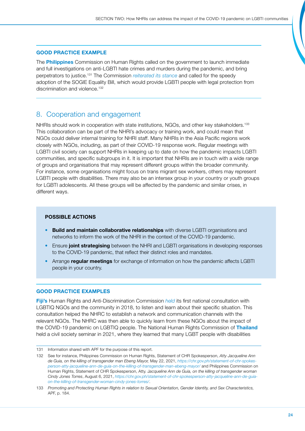## <span id="page-23-0"></span>GOOD PRACTICE EXAMPLE

The **Philippines** Commission on Human Rights called on the government to launch immediate and full investigations on anti-LGBTI hate crimes and murders during the pandemic, and bring perpetrators to justice.131 The Commission *[reiterated its stance](https://chr.gov.ph/wp-content/uploads/2018/10/Position-Paper-on-the-Anti-Discrimination-on-the-Basis-of-Sexual-Orientation-and-Gender-Identity-or-Expression-Bill.pdf)* and called for the speedy adoption of the SOGIE Equality Bill, which would provide LGBTI people with legal protection from discrimination and violence.<sup>132</sup>

## 8. Cooperation and engagement

NHRIs should work in cooperation with state institutions, NGOs, and other key stakeholders.<sup>133</sup> This collaboration can be part of the NHRI's advocacy or training work, and could mean that NGOs could deliver internal training for NHRI staff. Many NHRIs in the Asia Pacific regions work closely with NGOs, including, as part of their COVID-19 response work. Regular meetings with LGBTI civil society can support NHRIs in keeping up to date on how the pandemic impacts LGBTI communities, and specific subgroups in it. It is important that NHRIs are in touch with a wide range of groups and organisations that may represent different groups within the broader community. For instance, some organisations might focus on trans migrant sex workers, others may represent LGBTI people with disabilities. There may also be an intersex group in your country or youth groups for LGBTI adolescents. All these groups will be affected by the pandemic and similar crises, in different ways.

## POSSIBLE ACTIONS

- Build and maintain collaborative relationships with diverse LGBTI organisations and networks to inform the work of the NHRI in the context of the COVID-19 pandemic.
- Ensure joint strategising between the NHRI and LGBTI organisations in developing responses to the COVID-19 pandemic, that reflect their distinct roles and mandates.
- Arrange **regular meetings** for exchange of information on how the pandemic affects LGBTI people in your country.

#### GOOD PRACTICE EXAMPLES

Fiji's Human Rights and Anti-Discrimination Commission *[held](https://www.fhradc.org.fj/sexual-orientation-gender-identity/)* its first national consultation with LGBTIQ NGOs and the community in 2018, to listen and learn about their specific situation. This consultation helped the NHRC to establish a network and communication channels with the relevant NGOs. The NHRC was then able to quickly learn from these NGOs about the impact of the COVID-19 pandemic on LGBTIQ people. The National Human Rights Commission of Thailand held a civil society seminar in 2021, where they learned that many LGBT people with disabilities

<sup>131</sup> Information shared with APF for the purpose of this report.

<sup>132</sup> See for instance, Philippines Commission on Human Rights, Statement of CHR Spokesperson, *Atty Jacqueline Ann de Guia, on the killing of transgender man Ebeng Mayor,* May 22, 2021, *[https://chr.gov.ph/statement-of-chr-spokes](https://chr.gov.ph/statement-of-chr-spokesperson-atty-jacqueline-ann-de-guia-on-the-killing-of-transgender-man-ebeng-mayor/)[person-atty-jacqueline-ann-de-guia-on-the-killing-of-transgender-man-ebeng-mayor/](https://chr.gov.ph/statement-of-chr-spokesperson-atty-jacqueline-ann-de-guia-on-the-killing-of-transgender-man-ebeng-mayor/)* and Philippines Commission on Human Rights, Statement of CHR Spokesperson, Atty. J*acqueline Ann de Guia, on the killing of transgender woman Cindy Jones Torres*, August 6, 2021, *[https://chr.gov.ph/statement-of-chr-spokesperson-atty-jacqueline-ann-de-guia](https://chr.gov.ph/statement-of-chr-spokesperson-atty-jacqueline-ann-de-guia-on-the-killing-of-transgender-woman-cindy-jones-torres/)[on-the-killing-of-transgender-woman-cindy-jones-torres/](https://chr.gov.ph/statement-of-chr-spokesperson-atty-jacqueline-ann-de-guia-on-the-killing-of-transgender-woman-cindy-jones-torres/)*.

<sup>133</sup> *Promoting and Protecting Human Rights in relation to Sexual Orientation, Gender Identity, and Sex Characteristics,*  APF, p. 184.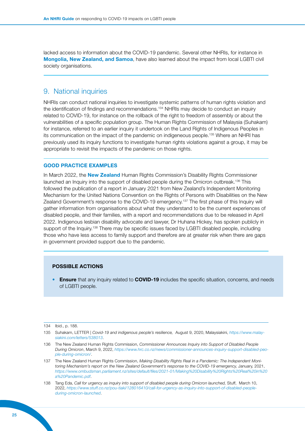lacked access to information about the COVID-19 pandemic. Several other NHRIs, for instance in Mongolia, New Zealand, and Samoa, have also learned about the impact from local LGBTI civil society organisations.

## 9. National inquiries

NHRIs can conduct national inquiries to investigate systemic patterns of human rights violation and the identification of findings and recommendations.<sup>134</sup> NHRIs may decide to conduct an inquiry related to COVID-19, for instance on the rollback of the right to freedom of assembly or about the vulnerabilities of a specific population group. The Human Rights Commission of Malaysia (Suhakam) for instance, referred to an earlier inquiry it undertook on the Land Rights of Indigenous Peoples in its communication on the impact of the pandemic on indigeneous people.135 Where an NHRI has previously used its inquiry functions to investigate human rights violations against a group, it may be appropriate to revisit the impacts of the pandemic on those rights.

## GOOD PRACTICE EXAMPLES

In March 2022, the New Zealand Human Rights Commission's Disability Rights Commissioner launched an Inquiry into the support of disabled people during the Omicron outbreak.<sup>136</sup> This followed the publication of a report in January 2021 from New Zealand's Independent Monitoring Mechanism for the United Nations Convention on the Rights of Persons with Disabilities on the New Zealand Government's response to the COVID-19 emergency.<sup>137</sup> The first phase of this Inquiry will gather information from organisations about what they understand to be the current experiences of disabled people, and their families, with a report and recommendations due to be released in April 2022. Indigenous lesbian disability advocate and lawyer, Dr Huhana Hickey, has spoken publicly in support of the Inquiry.<sup>138</sup> There may be specific issues faced by LGBTI disabled people, including those who have less access to family support and therefore are at greater risk when there are gaps in government provided support due to the pandemic.

### POSSIBLE ACTIONS

**Ensure** that any inquiry related to **COVID-19** includes the specific situation, concerns, and needs of LGBTI people.

<sup>134</sup> Ibid., p. 188.

<sup>135</sup> Suhakam, LETTER | *Covid-19 and indigenous people's resilience,* August 9, 2020, Malaysiakini, *[https://www.malay](https://www.malaysiakini.com/letters/538013)[siakini.com/letters/538013](https://www.malaysiakini.com/letters/538013)*.

<sup>136</sup> The New Zealand Human Rights Commission, *Commissioner Announces Inquiry into Support of Disabled People During Omicron*, March 9, 2022, *[https://www.hrc.co.nz/news/commissioner-announces-inquiry-support-disabled-peo](https://www.hrc.co.nz/news/commissioner-announces-inquiry-support-disabled-people-during-omicron/)[ple-during-omicron/](https://www.hrc.co.nz/news/commissioner-announces-inquiry-support-disabled-people-during-omicron/)*.

<sup>137</sup> The New Zealand Human Rights Commission, *Making Disability Rights Real in a Pandemic: The Independent Monitoring Mechanism's report on the New Zealand Government's response to the COVID-19 emergency,* January, 2021, *[https://www.ombudsman.parliament.nz/sites/default/files/2021-01/Making%20Disability%20Rights%20Real%20in%20](https://www.ombudsman.parliament.nz/sites/default/files/2021-01/Making%20Disability%20Rights%20Real%20in%20a%20Pandemic.pdf) [a%20Pandemic.pdf](https://www.ombudsman.parliament.nz/sites/default/files/2021-01/Making%20Disability%20Rights%20Real%20in%20a%20Pandemic.pdf)*.

<sup>138</sup> Tang Eda, *Call for urgency as inquiry into support of disabled people during Omicron launched,* Stuff, March 10, 2022, *[https://www.stuff.co.nz/pou-tiaki/128016410/call-for-urgency-as-inquiry-into-support-of-disabled-people](https://www.stuff.co.nz/pou-tiaki/128016410/call-for-urgency-as-inquiry-into-support-of-disabled-people-during-omicron-launched)[during-omicron-launched](https://www.stuff.co.nz/pou-tiaki/128016410/call-for-urgency-as-inquiry-into-support-of-disabled-people-during-omicron-launched)*.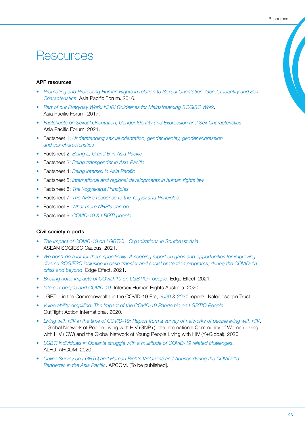## <span id="page-25-0"></span>Resources

### APF resources

- *[Promoting and Protecting Human Rights in relation to Sexual Orientation, Gender Identity and Sex](https://www.asiapacificforum.net/resources/manual-sogi-and-sex-charactersitics/)  [Characteristics](https://www.asiapacificforum.net/resources/manual-sogi-and-sex-charactersitics/)*. Asia Pacific Forum. 2016.
- *[Part of our Everyday Work: NHRI Guidelines for Mainstreaming SOGISC Work](https://www.asiapacificforum.net/resources/guidelines-mainstreaming-sexual-orientation-gender-identity-and-sex-characteristics-work/)*. Asia Pacific Forum. 2017.
- *[Factsheets on Sexual Orientation, Gender Identity and Expression and Sex Characteristics](https://find.asiapacificforum.net/l/en/sexual-orientation-gender-identity-and-expression-and-sex-characteristics-sogiesc)*. Asia Pacific Forum. 2021.
- Factsheet 1: *[Understanding sexual orientation, gender identity, gender expression](https://find.asiapacificforum.net/l/en/sexual-orientation-gender-identity-and-expression-and-sex-characteristics-sogiesc/understanding-sexual-orientation-gender-identity-gender-expression-and-sex-characteristics)  [and sex characteristics](https://find.asiapacificforum.net/l/en/sexual-orientation-gender-identity-and-expression-and-sex-characteristics-sogiesc/understanding-sexual-orientation-gender-identity-gender-expression-and-sex-characteristics)*
- Factsheet 2: *[Being L, G and B in Asia Pacific](https://find.asiapacificforum.net/l/en/sexual-orientation-gender-identity-and-expression-and-sex-characteristics-sogiesc/being-l-g-and-b-in-asia-and-the-pacific)*
- Factsheet 3: *[Being transgender in Asia Pacific](https://find.asiapacificforum.net/l/en/sexual-orientation-gender-identity-and-expression-and-sex-characteristics-sogiesc/being-transgender-in-asia-pacific)*
- Factsheet 4: *[Being intersex in Asia Pacific](https://find.asiapacificforum.net/l/en/sexual-orientation-gender-identity-and-expression-and-sex-characteristics-sogiesc/being-intersex-in-asia-pacific)*
- Factsheet 5: *[International and regional developments in human rights law](https://find.asiapacificforum.net/l/en/sexual-orientation-gender-identity-and-expression-and-sex-characteristics-sogiesc/international-and-regional-developments-in-human-rights-law)*
- Factsheet 6: *[The Yogyakarta Principles](https://find.asiapacificforum.net/l/en/sexual-orientation-gender-identity-and-expression-and-sex-characteristics-sogiesc/the-yogyakarta-principles)*
- Factsheet 7: *[The APF's response to the Yogyakarta Principles](https://find.asiapacificforum.net/l/en/sexual-orientation-gender-identity-and-expression-and-sex-characteristics-sogiesc/the-apf-s-response-to-the-yogyakarta-principles)*
- Factsheet 8: *[What more NHRIs can do](https://find.asiapacificforum.net/l/en/sexual-orientation-gender-identity-and-expression-and-sex-characteristics-sogiesc/what-more-nhris-can-do)*
- Factsheet 9: *[COVID-19 & LBGTI people](https://find.asiapacificforum.net/l/en/sexual-orientation-gender-identity-and-expression-and-sex-characteristics-sogiesc/covid-19-lbgti-people)*

### Civil society reports

- *[The Impact of COVID-19 on LGBTIQ+ Organizations in Southeast Asia](https://aseansogiecaucus.org/images/resources/publications/20211130%20The%20Impact%20of%20COVID-19%20on%20LGBTIQ%20%20Organizations%20in%20Southeast%20Asia%20-%20ASEAN%20SOGIE%20Caucus.pdf)*. ASEAN SOGIESC Caucus. 2021.
- *[We don't do a lot for them specifically: A scoping report on gaps and opportunities for improving](https://www.calpnetwork.org/wp-content/uploads/2021/08/WDDALFTS_FullReport_Web.pdf)  [diverse SOGIESC inclusion in cash transfer and social protection programs, during the COVID-19](https://www.calpnetwork.org/wp-content/uploads/2021/08/WDDALFTS_FullReport_Web.pdf)  [crisis and beyond](https://www.calpnetwork.org/wp-content/uploads/2021/08/WDDALFTS_FullReport_Web.pdf)*. Edge Effect. 2021.
- *[Briefing note: Impacts of COVID-19 on LGBTIQ+ people](https://www.edgeeffect.org/wp-content/uploads/2020/04/LGBTIQ-COVID19_EdgeEffect_30Apr.pdf)*. Edge Effect. 2021.
- *[Intersex people and COVID-19](https://ihra.org.au/36340/intersex-people-covid19/)*. Intersex Human Rights Australia. 2020.
- LGBTI+ in the Commonwealth in the COVID-19 Era, *[2020](https://www.commonwealth-covid19.com/)* & *[2021](https://www.kaleidoscopetrust.com/Administrator/pdfforms/LGBTI+%20People%20in%20the%20Commonwealth%20in%20the%20Covid%20Era:%20An%20Update974430.pdf)* reports. Kaleidoscope Trust.
- *[Vulnerability Amplified: The Impact of the COVID-19 Pandemic on LGBTIQ People](https://outrightinternational.org/sites/default/files/COVIDsReportDesign_FINAL_LR_0.pdf)*. OutRight Action International. 2020.
- *[Living with HIV in the time of COVID-19: Report from a survey of networks of people living with HIV](https://www.wlhiv.org/_files/ugd/836bb6_6dd1315af17c4b0bb088d8e837aef632.pdf)*. e Global Network of People Living with HIV (GNP+), the International Community of Women Living with HIV (ICW) and the Global Network of Young People Living with HIV (Y+Global). 2020
- *[LGBTI individuals in Oceania struggle with a multitude of COVID-19 related challenges](https://www.apcom.org/alfo-survey-lgbti-individuals-in-oceania-struggle-with-multitude-of-covid19-related-challenges/)*. ALFO, APCOM. 2020.
- *[Online Survey on LGBTQ and Human Rights Violations and Abuses during the COVID-19](https://www.apcom.org/online-survey-on-lgbtq-and-human-rights-violations-and-abuses-during-the-covid-19-pandemic-in-the-asia-pacific-launched-on-human-rights-day-2021/)  [Pandemic in the Asia Pacific](https://www.apcom.org/online-survey-on-lgbtq-and-human-rights-violations-and-abuses-during-the-covid-19-pandemic-in-the-asia-pacific-launched-on-human-rights-day-2021/)*. APCOM. [To be published].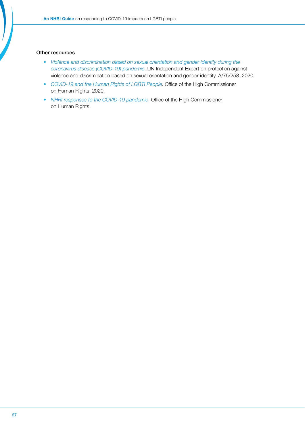#### Other resources

- *[Violence and discrimination based on sexual orientation and gender identity during the](https://undocs.org/A/75/258)  [coronavirus disease \(COVID-19\) pandemic](https://undocs.org/A/75/258)*. UN Independent Expert on protection against violence and discrimination based on sexual orientation and gender identity. A/75/258. 2020.
- *[COVID-19 and the Human Rights of LGBTI People](https://www.ohchr.org/Documents/Issues/LGBT/LGBTIpeople.pdf)*. Office of the High Commissioner on Human Rights. 2020.
- *[NHRI responses to the COVID-19 pandemic](https://www.ohchr.org/EN/Countries/NHRI/Pages/NHRIS-and-Covid-19.aspx)*. Office of the High Commissioner on Human Rights.